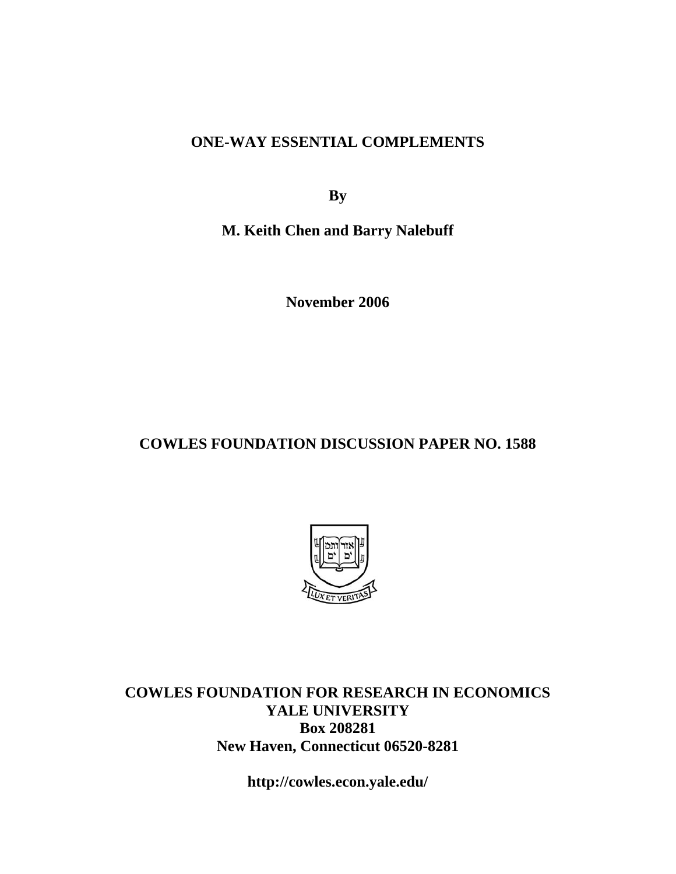## **ONE-WAY ESSENTIAL COMPLEMENTS**

**By** 

**M. Keith Chen and Barry Nalebuff** 

**November 2006** 

# **COWLES FOUNDATION DISCUSSION PAPER NO. 1588**



**COWLES FOUNDATION FOR RESEARCH IN ECONOMICS YALE UNIVERSITY Box 208281 New Haven, Connecticut 06520-8281** 

**http://cowles.econ.yale.edu/**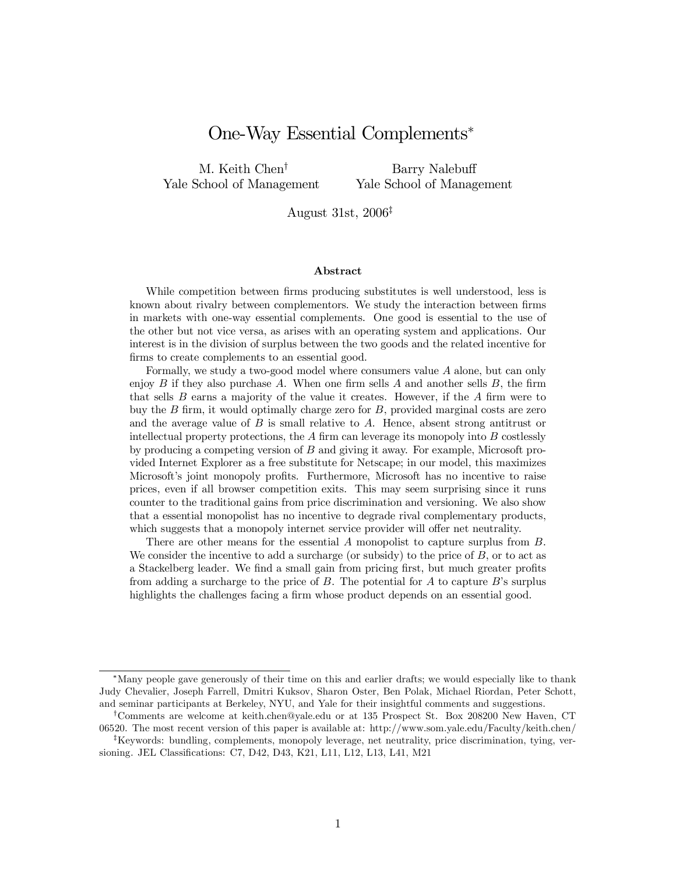# One-Way Essential Complements<sup>∗</sup>

M. Keith Chen† Yale School of Management

Barry Nalebuff Yale School of Management

August 31st, 2006‡

#### Abstract

While competition between firms producing substitutes is well understood, less is known about rivalry between complementors. We study the interaction between firms in markets with one-way essential complements. One good is essential to the use of the other but not vice versa, as arises with an operating system and applications. Our interest is in the division of surplus between the two goods and the related incentive for firms to create complements to an essential good.

Formally, we study a two-good model where consumers value A alone, but can only enjoy  $B$  if they also purchase  $A$ . When one firm sells  $A$  and another sells  $B$ , the firm that sells  $B$  earns a majority of the value it creates. However, if the  $A$  firm were to buy the  $B$  firm, it would optimally charge zero for  $B$ , provided marginal costs are zero and the average value of  $B$  is small relative to  $A$ . Hence, absent strong antitrust or intellectual property protections, the  $A$  firm can leverage its monopoly into  $B$  costlessly by producing a competing version of B and giving it away. For example, Microsoft provided Internet Explorer as a free substitute for Netscape; in our model, this maximizes Microsoft's joint monopoly profits. Furthermore, Microsoft has no incentive to raise prices, even if all browser competition exits. This may seem surprising since it runs counter to the traditional gains from price discrimination and versioning. We also show that a essential monopolist has no incentive to degrade rival complementary products, which suggests that a monopoly internet service provider will offer net neutrality.

There are other means for the essential A monopolist to capture surplus from B. We consider the incentive to add a surcharge (or subsidy) to the price of B, or to act as a Stackelberg leader. We find a small gain from pricing first, but much greater profits from adding a surcharge to the price of  $B$ . The potential for  $A$  to capture  $B$ 's surplus highlights the challenges facing a firm whose product depends on an essential good.

<sup>∗</sup>Many people gave generously of their time on this and earlier drafts; we would especially like to thank Judy Chevalier, Joseph Farrell, Dmitri Kuksov, Sharon Oster, Ben Polak, Michael Riordan, Peter Schott, and seminar participants at Berkeley, NYU, and Yale for their insightful comments and suggestions.

<sup>†</sup>Comments are welcome at keith.chen@yale.edu or at 135 Prospect St. Box 208200 New Haven, CT 06520. The most recent version of this paper is available at: http://www.som.yale.edu/Faculty/keith.chen/

<sup>‡</sup>Keywords: bundling, complements, monopoly leverage, net neutrality, price discrimination, tying, versioning. JEL Classifications: C7, D42, D43, K21, L11, L12, L13, L41, M21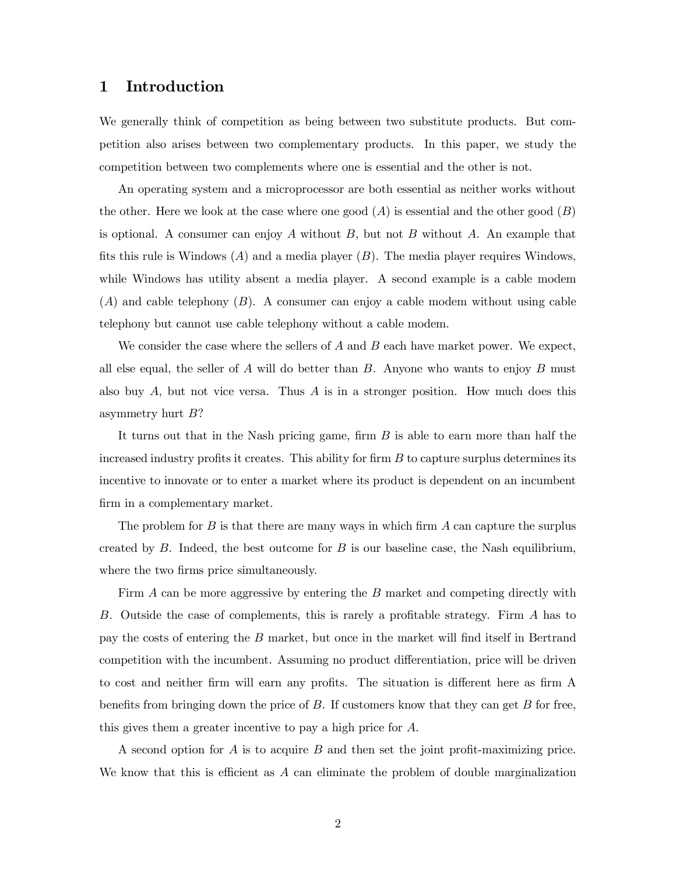### 1 Introduction

We generally think of competition as being between two substitute products. But competition also arises between two complementary products. In this paper, we study the competition between two complements where one is essential and the other is not.

An operating system and a microprocessor are both essential as neither works without the other. Here we look at the case where one good  $(A)$  is essential and the other good  $(B)$ is optional. A consumer can enjoy A without B, but not B without A. An example that fits this rule is Windows  $(A)$  and a media player  $(B)$ . The media player requires Windows, while Windows has utility absent a media player. A second example is a cable modem (A) and cable telephony (B). A consumer can enjoy a cable modem without using cable telephony but cannot use cable telephony without a cable modem.

We consider the case where the sellers of  $A$  and  $B$  each have market power. We expect, all else equal, the seller of  $A$  will do better than  $B$ . Anyone who wants to enjoy  $B$  must also buy  $A$ , but not vice versa. Thus  $A$  is in a stronger position. How much does this asymmetry hurt  $B$ ?

It turns out that in the Nash pricing game, firm B is able to earn more than half the increased industry profits it creates. This ability for firm  $B$  to capture surplus determines its incentive to innovate or to enter a market where its product is dependent on an incumbent firm in a complementary market.

The problem for  $B$  is that there are many ways in which firm  $A$  can capture the surplus created by  $B$ . Indeed, the best outcome for  $B$  is our baseline case, the Nash equilibrium, where the two firms price simultaneously.

Firm A can be more aggressive by entering the B market and competing directly with B. Outside the case of complements, this is rarely a profitable strategy. Firm A has to pay the costs of entering the B market, but once in the market will find itself in Bertrand competition with the incumbent. Assuming no product differentiation, price will be driven to cost and neither firm will earn any profits. The situation is different here as firm A benefits from bringing down the price of  $B$ . If customers know that they can get  $B$  for free, this gives them a greater incentive to pay a high price for A.

A second option for A is to acquire B and then set the joint profit-maximizing price. We know that this is efficient as A can eliminate the problem of double marginalization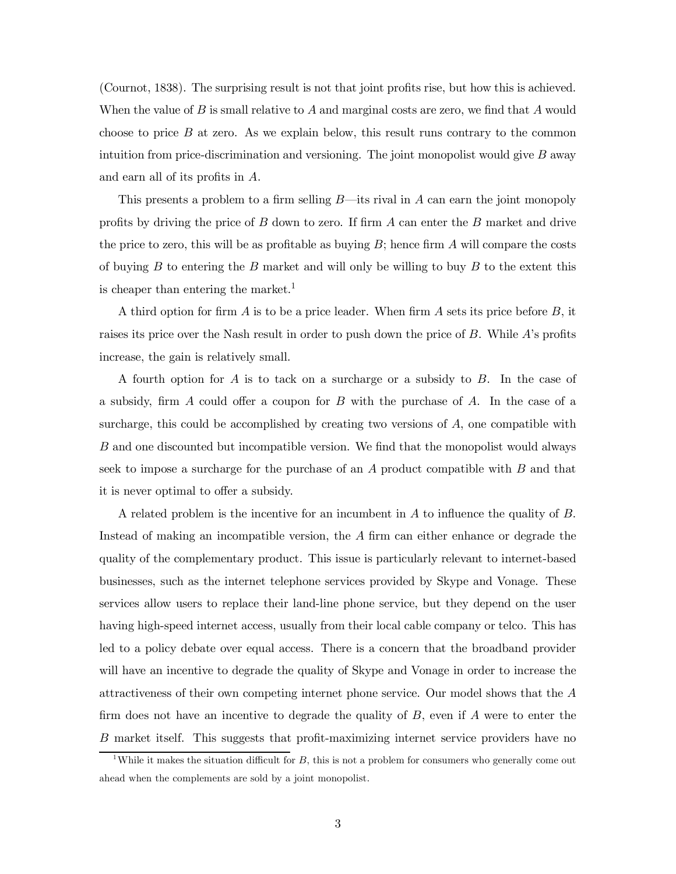(Cournot, 1838). The surprising result is not that joint profits rise, but how this is achieved. When the value of B is small relative to A and marginal costs are zero, we find that A would choose to price  $B$  at zero. As we explain below, this result runs contrary to the common intuition from price-discrimination and versioning. The joint monopolist would give  $B$  away and earn all of its profits in A.

This presents a problem to a firm selling  $B$ —its rival in A can earn the joint monopoly profits by driving the price of  $B$  down to zero. If firm  $A$  can enter the  $B$  market and drive the price to zero, this will be as profitable as buying  $B$ ; hence firm A will compare the costs of buying  $B$  to entering the  $B$  market and will only be willing to buy  $B$  to the extent this is cheaper than entering the market.<sup>1</sup>

A third option for firm A is to be a price leader. When firm A sets its price before B, it raises its price over the Nash result in order to push down the price of  $B$ . While  $A$ 's profits increase, the gain is relatively small.

A fourth option for A is to tack on a surcharge or a subsidy to B. In the case of a subsidy, firm A could offer a coupon for B with the purchase of A. In the case of a surcharge, this could be accomplished by creating two versions of  $A$ , one compatible with B and one discounted but incompatible version. We find that the monopolist would always seek to impose a surcharge for the purchase of an A product compatible with B and that it is never optimal to offer a subsidy.

A related problem is the incentive for an incumbent in A to influence the quality of B. Instead of making an incompatible version, the A firm can either enhance or degrade the quality of the complementary product. This issue is particularly relevant to internet-based businesses, such as the internet telephone services provided by Skype and Vonage. These services allow users to replace their land-line phone service, but they depend on the user having high-speed internet access, usually from their local cable company or telco. This has led to a policy debate over equal access. There is a concern that the broadband provider will have an incentive to degrade the quality of Skype and Vonage in order to increase the attractiveness of their own competing internet phone service. Our model shows that the A firm does not have an incentive to degrade the quality of  $B$ , even if  $A$  were to enter the B market itself. This suggests that profit-maximizing internet service providers have no

<sup>&</sup>lt;sup>1</sup>While it makes the situation difficult for  $B$ , this is not a problem for consumers who generally come out ahead when the complements are sold by a joint monopolist.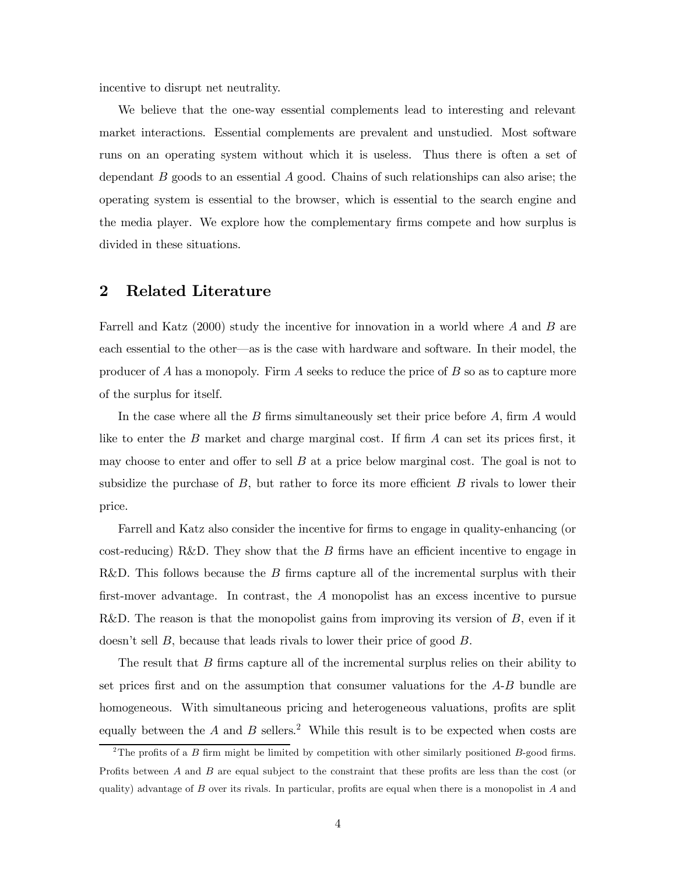incentive to disrupt net neutrality.

We believe that the one-way essential complements lead to interesting and relevant market interactions. Essential complements are prevalent and unstudied. Most software runs on an operating system without which it is useless. Thus there is often a set of dependant  $B$  goods to an essential  $A$  good. Chains of such relationships can also arise; the operating system is essential to the browser, which is essential to the search engine and the media player. We explore how the complementary firms compete and how surplus is divided in these situations.

## 2 Related Literature

Farrell and Katz  $(2000)$  study the incentive for innovation in a world where A and B are each essential to the other–as is the case with hardware and software. In their model, the producer of A has a monopoly. Firm A seeks to reduce the price of B so as to capture more of the surplus for itself.

In the case where all the B firms simultaneously set their price before  $A$ , firm  $A$  would like to enter the B market and charge marginal cost. If firm A can set its prices first, it may choose to enter and offer to sell  $B$  at a price below marginal cost. The goal is not to subsidize the purchase of  $B$ , but rather to force its more efficient  $B$  rivals to lower their price.

Farrell and Katz also consider the incentive for firms to engage in quality-enhancing (or cost-reducing) R&D. They show that the  $B$  firms have an efficient incentive to engage in R&D. This follows because the B firms capture all of the incremental surplus with their first-mover advantage. In contrast, the A monopolist has an excess incentive to pursue R&D. The reason is that the monopolist gains from improving its version of  $B$ , even if it doesn't sell B, because that leads rivals to lower their price of good B.

The result that B firms capture all of the incremental surplus relies on their ability to set prices first and on the assumption that consumer valuations for the A-B bundle are homogeneous. With simultaneous pricing and heterogeneous valuations, profits are split equally between the A and B sellers.<sup>2</sup> While this result is to be expected when costs are

<sup>&</sup>lt;sup>2</sup>The profits of a B firm might be limited by competition with other similarly positioned B-good firms. Profits between A and B are equal subject to the constraint that these profits are less than the cost (or quality) advantage of B over its rivals. In particular, profits are equal when there is a monopolist in A and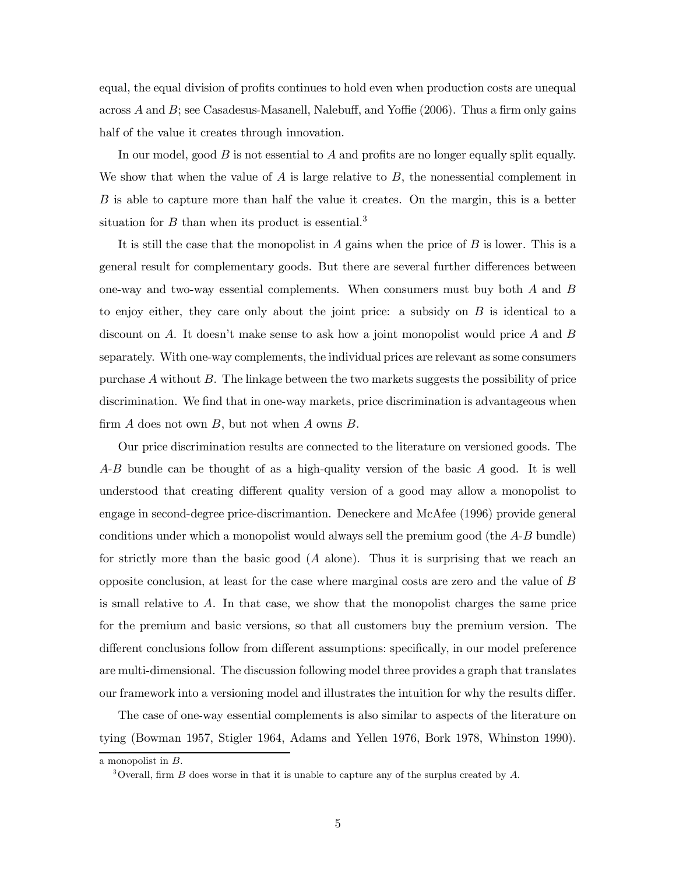equal, the equal division of profits continues to hold even when production costs are unequal across  $A$  and  $B$ ; see Casadesus-Masanell, Nalebuff, and Yoffie (2006). Thus a firm only gains half of the value it creates through innovation.

In our model, good  $B$  is not essential to  $A$  and profits are no longer equally split equally. We show that when the value of  $A$  is large relative to  $B$ , the nonessential complement in B is able to capture more than half the value it creates. On the margin, this is a better situation for  $B$  than when its product is essential.<sup>3</sup>

It is still the case that the monopolist in A gains when the price of  $B$  is lower. This is a general result for complementary goods. But there are several further differences between one-way and two-way essential complements. When consumers must buy both  $A$  and  $B$ to enjoy either, they care only about the joint price: a subsidy on  $B$  is identical to a discount on A. It doesn't make sense to ask how a joint monopolist would price A and B separately. With one-way complements, the individual prices are relevant as some consumers purchase  $A$  without  $B$ . The linkage between the two markets suggests the possibility of price discrimination. We find that in one-way markets, price discrimination is advantageous when firm  $A$  does not own  $B$ , but not when  $A$  owns  $B$ .

Our price discrimination results are connected to the literature on versioned goods. The A-B bundle can be thought of as a high-quality version of the basic A good. It is well understood that creating different quality version of a good may allow a monopolist to engage in second-degree price-discrimantion. Deneckere and McAfee (1996) provide general conditions under which a monopolist would always sell the premium good (the A-B bundle) for strictly more than the basic good (A alone). Thus it is surprising that we reach an opposite conclusion, at least for the case where marginal costs are zero and the value of  $B$ is small relative to  $A$ . In that case, we show that the monopolist charges the same price for the premium and basic versions, so that all customers buy the premium version. The different conclusions follow from different assumptions: specifically, in our model preference are multi-dimensional. The discussion following model three provides a graph that translates our framework into a versioning model and illustrates the intuition for why the results differ.

The case of one-way essential complements is also similar to aspects of the literature on tying (Bowman 1957, Stigler 1964, Adams and Yellen 1976, Bork 1978, Whinston 1990).

a monopolist in B.

 $3$ Overall, firm  $B$  does worse in that it is unable to capture any of the surplus created by  $A$ .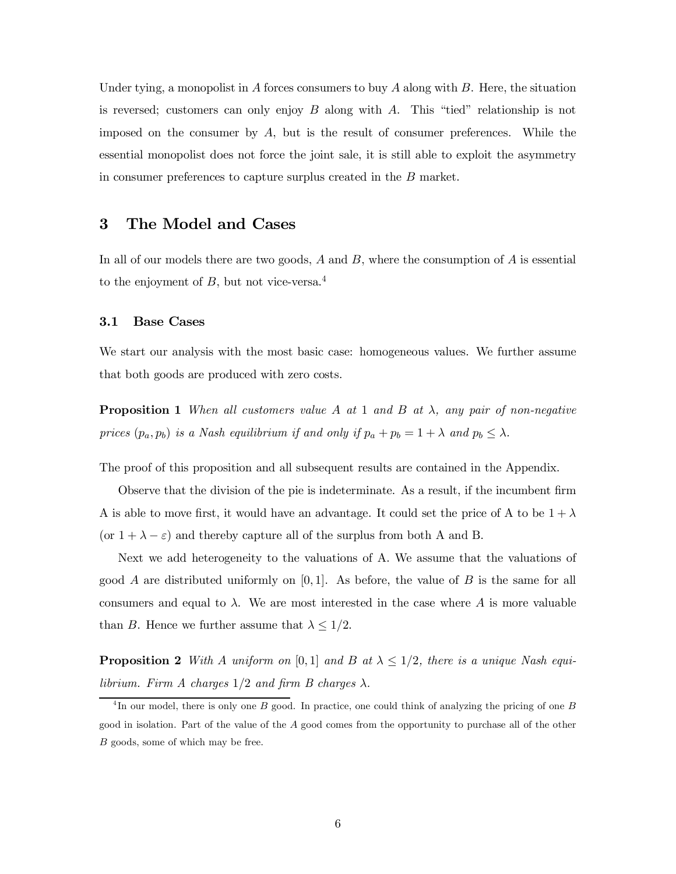Under tying, a monopolist in A forces consumers to buy A along with  $B$ . Here, the situation is reversed; customers can only enjoy  $B$  along with  $A$ . This "tied" relationship is not imposed on the consumer by  $A$ , but is the result of consumer preferences. While the essential monopolist does not force the joint sale, it is still able to exploit the asymmetry in consumer preferences to capture surplus created in the B market.

### 3 The Model and Cases

In all of our models there are two goods,  $A$  and  $B$ , where the consumption of  $A$  is essential to the enjoyment of  $B$ , but not vice-versa.<sup>4</sup>

#### 3.1 Base Cases

We start our analysis with the most basic case: homogeneous values. We further assume that both goods are produced with zero costs.

**Proposition 1** When all customers value A at 1 and B at  $\lambda$ , any pair of non-negative prices  $(p_a, p_b)$  is a Nash equilibrium if and only if  $p_a + p_b = 1 + \lambda$  and  $p_b \leq \lambda$ .

The proof of this proposition and all subsequent results are contained in the Appendix.

Observe that the division of the pie is indeterminate. As a result, if the incumbent firm A is able to move first, it would have an advantage. It could set the price of A to be  $1 + \lambda$ (or  $1 + \lambda - \varepsilon$ ) and thereby capture all of the surplus from both A and B.

Next we add heterogeneity to the valuations of A. We assume that the valuations of good A are distributed uniformly on  $[0, 1]$ . As before, the value of B is the same for all consumers and equal to  $\lambda$ . We are most interested in the case where A is more valuable than B. Hence we further assume that  $\lambda \leq 1/2$ .

**Proposition 2** With A uniform on [0,1] and B at  $\lambda \leq 1/2$ , there is a unique Nash equilibrium. Firm A charges  $1/2$  and firm B charges  $\lambda$ .

<sup>&</sup>lt;sup>4</sup>In our model, there is only one B good. In practice, one could think of analyzing the pricing of one B good in isolation. Part of the value of the A good comes from the opportunity to purchase all of the other B goods, some of which may be free.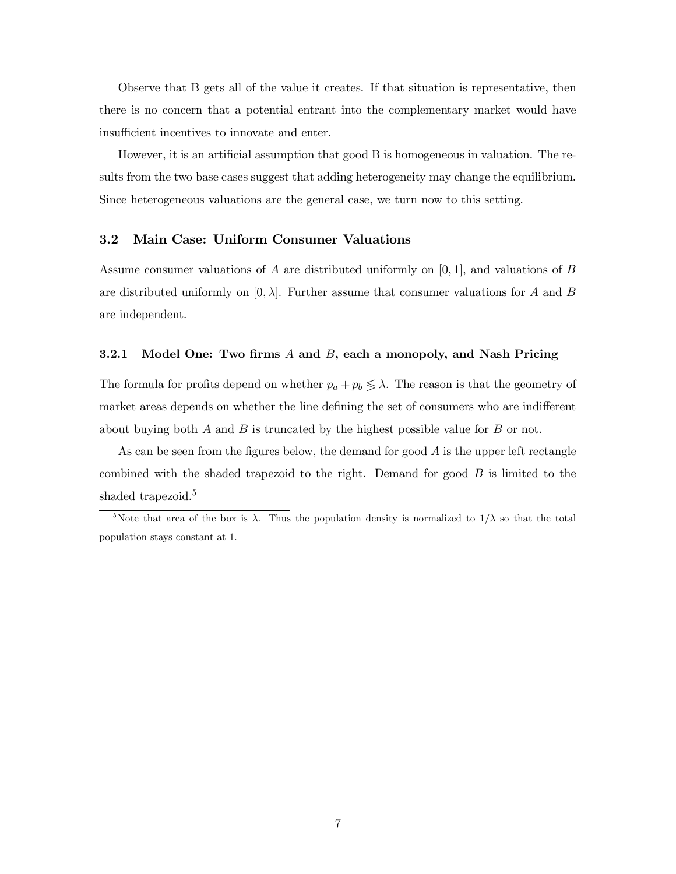Observe that B gets all of the value it creates. If that situation is representative, then there is no concern that a potential entrant into the complementary market would have insufficient incentives to innovate and enter.

However, it is an artificial assumption that good B is homogeneous in valuation. The results from the two base cases suggest that adding heterogeneity may change the equilibrium. Since heterogeneous valuations are the general case, we turn now to this setting.

#### 3.2 Main Case: Uniform Consumer Valuations

Assume consumer valuations of A are distributed uniformly on  $[0,1]$ , and valuations of B are distributed uniformly on  $[0, \lambda]$ . Further assume that consumer valuations for A and B are independent.

#### 3.2.1 Model One: Two firms A and B, each a monopoly, and Nash Pricing

The formula for profits depend on whether  $p_a + p_b \leq \lambda$ . The reason is that the geometry of market areas depends on whether the line defining the set of consumers who are indifferent about buying both  $A$  and  $B$  is truncated by the highest possible value for  $B$  or not.

As can be seen from the figures below, the demand for good  $A$  is the upper left rectangle combined with the shaded trapezoid to the right. Demand for good  $B$  is limited to the shaded trapezoid.<sup>5</sup>

<sup>&</sup>lt;sup>5</sup>Note that area of the box is  $\lambda$ . Thus the population density is normalized to  $1/\lambda$  so that the total population stays constant at 1.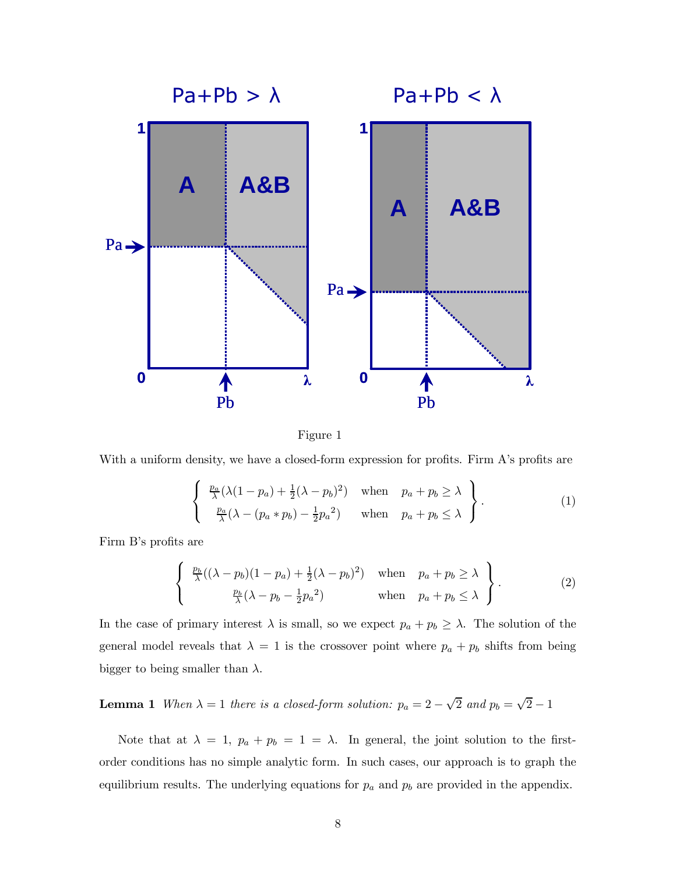

Figure 1

With a uniform density, we have a closed-form expression for profits. Firm A's profits are

$$
\begin{cases}\n\frac{p_a}{\lambda}(\lambda(1-p_a) + \frac{1}{2}(\lambda - p_b)^2) & \text{when} \quad p_a + p_b \ge \lambda \\
\frac{p_a}{\lambda}(\lambda - (p_a * p_b) - \frac{1}{2}p_a^2) & \text{when} \quad p_a + p_b \le \lambda\n\end{cases}
$$
\n(1)

Firm B's profits are

$$
\begin{cases}\n\frac{p_b}{\lambda}((\lambda - p_b)(1 - p_a) + \frac{1}{2}(\lambda - p_b)^2) & \text{when} \quad p_a + p_b \ge \lambda \\
\frac{p_b}{\lambda}(\lambda - p_b - \frac{1}{2}p_a^2) & \text{when} \quad p_a + p_b \le \lambda\n\end{cases}
$$
\n(2)

In the case of primary interest  $\lambda$  is small, so we expect  $p_a + p_b \geq \lambda$ . The solution of the general model reveals that  $\lambda = 1$  is the crossover point where  $p_a + p_b$  shifts from being bigger to being smaller than  $\lambda$ .

**Lemma 1** When  $\lambda = 1$  there is a closed-form solution:  $p_a = 2 - \sqrt{2}$  and  $p_b = \sqrt{2} - 1$ 

Note that at  $\lambda = 1$ ,  $p_a + p_b = 1 = \lambda$ . In general, the joint solution to the firstorder conditions has no simple analytic form. In such cases, our approach is to graph the equilibrium results. The underlying equations for  $p_a$  and  $p_b$  are provided in the appendix.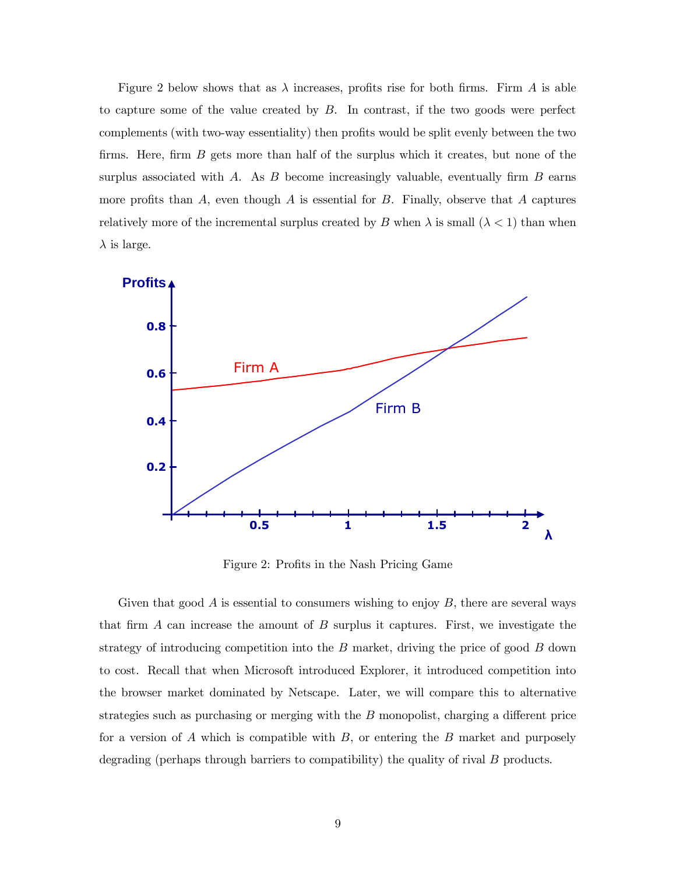Figure 2 below shows that as  $\lambda$  increases, profits rise for both firms. Firm A is able to capture some of the value created by B. In contrast, if the two goods were perfect complements (with two-way essentiality) then profits would be split evenly between the two firms. Here, firm B gets more than half of the surplus which it creates, but none of the surplus associated with  $A$ . As  $B$  become increasingly valuable, eventually firm  $B$  earns more profits than  $A$ , even though  $A$  is essential for  $B$ . Finally, observe that  $A$  captures relatively more of the incremental surplus created by B when  $\lambda$  is small  $(\lambda < 1)$  than when  $\lambda$  is large.



Figure 2: Profits in the Nash Pricing Game

Given that good  $A$  is essential to consumers wishing to enjoy  $B$ , there are several ways that firm  $A$  can increase the amount of  $B$  surplus it captures. First, we investigate the strategy of introducing competition into the  $B$  market, driving the price of good  $B$  down to cost. Recall that when Microsoft introduced Explorer, it introduced competition into the browser market dominated by Netscape. Later, we will compare this to alternative strategies such as purchasing or merging with the B monopolist, charging a different price for a version of A which is compatible with  $B$ , or entering the B market and purposely degrading (perhaps through barriers to compatibility) the quality of rival B products.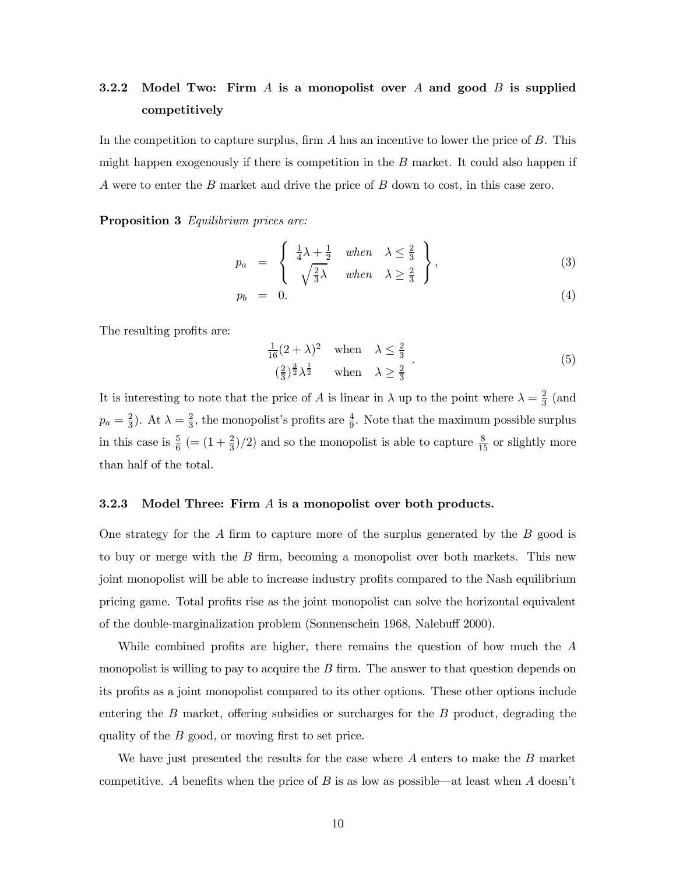## 3.2.2 Model Two: Firm A is a monopolist over A and good B is supplied competitively

In the competition to capture surplus, firm  $A$  has an incentive to lower the price of  $B$ . This might happen exogenously if there is competition in the  $B$  market. It could also happen if A were to enter the B market and drive the price of B down to cost, in this case zero.

Proposition 3 Equilibrium prices are:

$$
p_a = \begin{cases} \frac{1}{4}\lambda + \frac{1}{2} & when \quad \lambda \le \frac{2}{3} \\ \sqrt{\frac{2}{3}}\lambda & when \quad \lambda \ge \frac{2}{3} \end{cases},
$$
 (3)

$$
p_b = 0. \t\t(4)
$$

The resulting profits are:

$$
\frac{1}{16}(2+\lambda)^2 \quad \text{when} \quad \lambda \le \frac{2}{3}
$$
\n
$$
\left(\frac{2}{3}\right)^{\frac{3}{2}}\lambda^{\frac{1}{2}} \quad \text{when} \quad \lambda \ge \frac{2}{3}
$$
\n
$$
(5)
$$

It is interesting to note that the price of A is linear in  $\lambda$  up to the point where  $\lambda = \frac{2}{3}$  $rac{2}{3}$  (and  $p_a = \frac{2}{3}$ . At  $\lambda = \frac{2}{3}$ , the monopolist's profits are  $\frac{4}{9}$ . Note that the maximum possible surplus in this case is  $\frac{5}{6}$  (=  $(1+\frac{2}{3})/2$ ) and so the monopolist is able to capture  $\frac{8}{15}$  or slightly more than half of the total.

#### 3.2.3 Model Three: Firm  $A$  is a monopolist over both products.

One strategy for the  $A$  firm to capture more of the surplus generated by the  $B$  good is to buy or merge with the  $B$  firm, becoming a monopolist over both markets. This new joint monopolist will be able to increase industry profits compared to the Nash equilibrium pricing game. Total profits rise as the joint monopolist can solve the horizontal equivalent of the double-marginalization problem (Sonnenschein 1968, Nalebuff 2000).

While combined profits are higher, there remains the question of how much the A monopolist is willing to pay to acquire the  $B$  firm. The answer to that question depends on its profits as a joint monopolist compared to its other options. These other options include entering the  $B$  market, offering subsidies or surcharges for the  $B$  product, degrading the quality of the B good, or moving first to set price.

We have just presented the results for the case where  $A$  enters to make the  $B$  market competitive. A benefits when the price of B is as low as possible—at least when A doesn't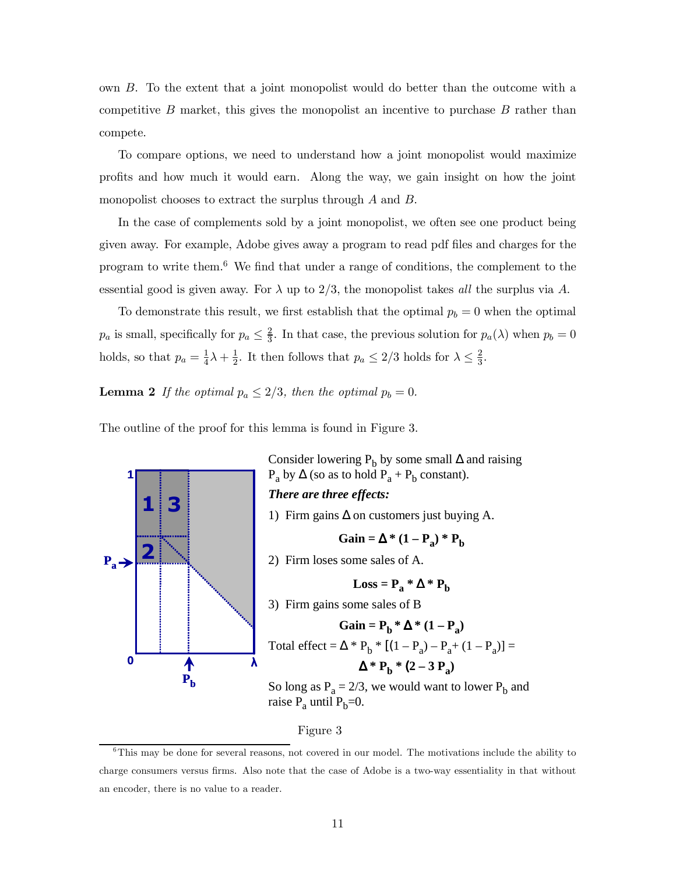own B. To the extent that a joint monopolist would do better than the outcome with a competitive B market, this gives the monopolist an incentive to purchase B rather than compete.

To compare options, we need to understand how a joint monopolist would maximize profits and how much it would earn. Along the way, we gain insight on how the joint monopolist chooses to extract the surplus through  $A$  and  $B$ .

In the case of complements sold by a joint monopolist, we often see one product being given away. For example, Adobe gives away a program to read pdf files and charges for the program to write them.<sup>6</sup> We find that under a range of conditions, the complement to the essential good is given away. For  $\lambda$  up to 2/3, the monopolist takes all the surplus via A.

To demonstrate this result, we first establish that the optimal  $p_b = 0$  when the optimal  $p_a$  is small, specifically for  $p_a \leq \frac{2}{3}$  $\frac{2}{3}$ . In that case, the previous solution for  $p_a(\lambda)$  when  $p_b = 0$ holds, so that  $p_a = \frac{1}{4}$  $\frac{1}{4}\lambda + \frac{1}{2}$  $\frac{1}{2}$ . It then follows that  $p_a \leq 2/3$  holds for  $\lambda \leq \frac{2}{3}$  $\frac{2}{3}$ .

**Lemma 2** If the optimal  $p_a \leq 2/3$ , then the optimal  $p_b = 0$ .

The outline of the proof for this lemma is found in Figure 3.



Consider lowering  $P_b$  by some small  $\Delta$  and raising  $P_a$  by  $\Delta$  (so as to hold  $P_a + P_b$  constant). *There are three effects:* 1) Firm gains ∆ on customers just buying A.  $Gain = \Delta * (1 - P_a) * P_b$ 2) Firm loses some sales of A.  $\text{Loss} = \text{P}_{\text{a}} * \Delta * \text{P}_{\text{b}}$ 3) Firm gains some sales of B  $Gain = P_b * \Delta * (1 - P_a)$ Total effect =  $\Delta * P_b * [(1 - P_a) - P_a + (1 - P_a)] =$  $\Delta * P_b * (2 - 3 P_a)$ So long as  $P_a = 2/3$ , we would want to lower  $P_b$  and raise  $P_a$  until  $P_b = 0$ .

Figure 3

 $6$ This may be done for several reasons, not covered in our model. The motivations include the ability to charge consumers versus firms. Also note that the case of Adobe is a two-way essentiality in that without an encoder, there is no value to a reader.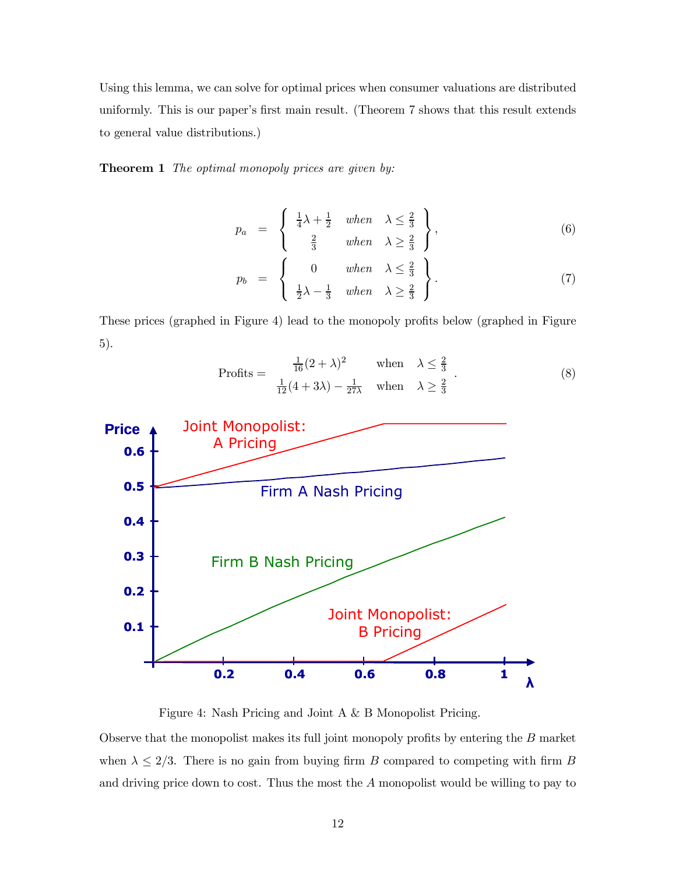Using this lemma, we can solve for optimal prices when consumer valuations are distributed uniformly. This is our paper's first main result. (Theorem 7 shows that this result extends to general value distributions.)

**Theorem 1** The optimal monopoly prices are given by:

$$
p_a = \begin{cases} \frac{1}{4}\lambda + \frac{1}{2} & when \quad \lambda \le \frac{2}{3} \\ \frac{2}{3} & when \quad \lambda \ge \frac{2}{3} \end{cases},
$$
 (6)

$$
p_b = \begin{cases} 0 & when & \lambda \leq \frac{2}{3} \\ \frac{1}{2}\lambda - \frac{1}{3} & when & \lambda \geq \frac{2}{3} \end{cases}.
$$
 (7)

These prices (graphed in Figure 4) lead to the monopoly profits below (graphed in Figure 5).

$$
\text{Profits} = \frac{\frac{1}{16}(2+\lambda)^2}{\frac{1}{12}(4+3\lambda) - \frac{1}{27\lambda}} \quad \text{when} \quad \lambda \ge \frac{2}{3} \tag{8}
$$



Figure 4: Nash Pricing and Joint A & B Monopolist Pricing.

Observe that the monopolist makes its full joint monopoly profits by entering the B market when  $\lambda \leq 2/3$ . There is no gain from buying firm B compared to competing with firm B and driving price down to cost. Thus the most the A monopolist would be willing to pay to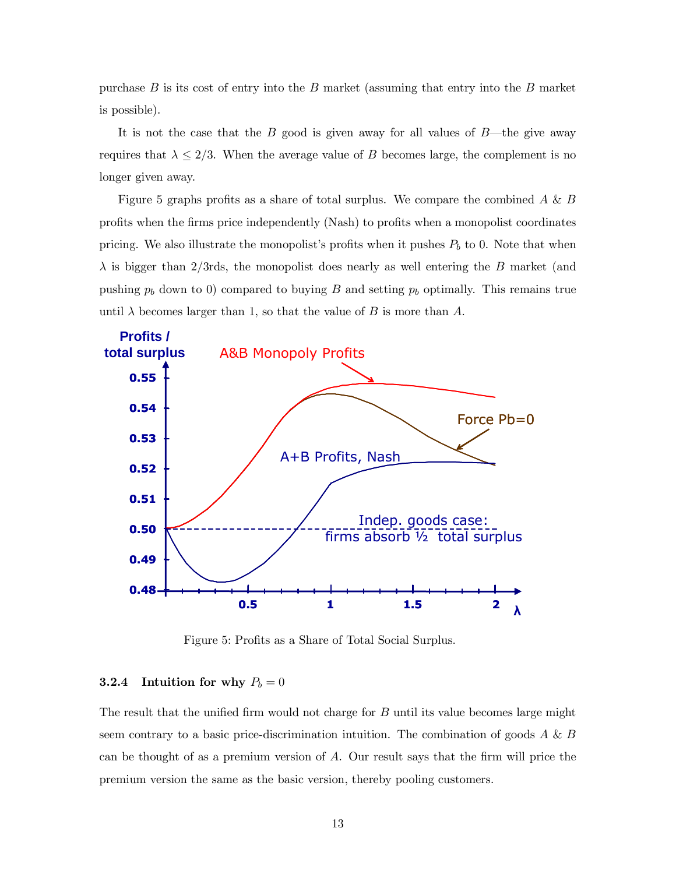purchase  $B$  is its cost of entry into the  $B$  market (assuming that entry into the  $B$  market is possible).

It is not the case that the  $B$  good is given away for all values of  $B$ —the give away requires that  $\lambda \leq 2/3$ . When the average value of B becomes large, the complement is no longer given away.

Figure 5 graphs profits as a share of total surplus. We compare the combined  $A \& B$ profits when the firms price independently (Nash) to profits when a monopolist coordinates pricing. We also illustrate the monopolist's profits when it pushes  $P_b$  to 0. Note that when  $\lambda$  is bigger than 2/3rds, the monopolist does nearly as well entering the B market (and pushing  $p_b$  down to 0) compared to buying B and setting  $p_b$  optimally. This remains true until  $\lambda$  becomes larger than 1, so that the value of B is more than A.



Figure 5: Profits as a Share of Total Social Surplus.

### **3.2.4** Intuition for why  $P_b = 0$

The result that the unified firm would not charge for B until its value becomes large might seem contrary to a basic price-discrimination intuition. The combination of goods  $A \& B$ can be thought of as a premium version of A. Our result says that the firm will price the premium version the same as the basic version, thereby pooling customers.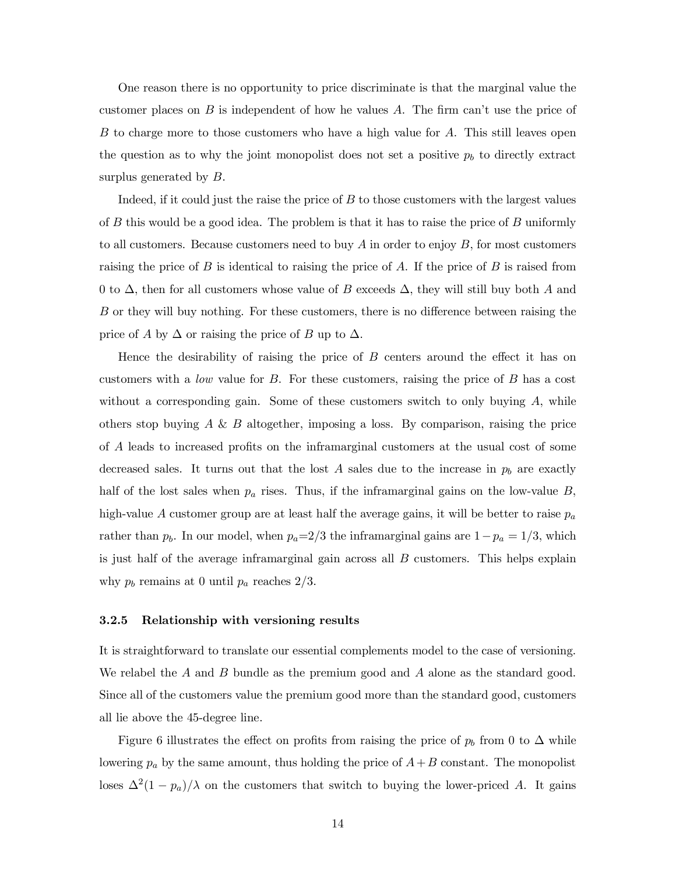One reason there is no opportunity to price discriminate is that the marginal value the customer places on  $B$  is independent of how he values  $A$ . The firm can't use the price of B to charge more to those customers who have a high value for A. This still leaves open the question as to why the joint monopolist does not set a positive  $p<sub>b</sub>$  to directly extract surplus generated by B.

Indeed, if it could just the raise the price of  $B$  to those customers with the largest values of  $B$  this would be a good idea. The problem is that it has to raise the price of  $B$  uniformly to all customers. Because customers need to buy  $A$  in order to enjoy  $B$ , for most customers raising the price of B is identical to raising the price of A. If the price of B is raised from 0 to  $\Delta$ , then for all customers whose value of B exceeds  $\Delta$ , they will still buy both A and B or they will buy nothing. For these customers, there is no difference between raising the price of A by  $\Delta$  or raising the price of B up to  $\Delta$ .

Hence the desirability of raising the price of  $B$  centers around the effect it has on customers with a *low* value for  $B$ . For these customers, raising the price of  $B$  has a cost without a corresponding gain. Some of these customers switch to only buying  $A$ , while others stop buying  $A \& B$  altogether, imposing a loss. By comparison, raising the price of A leads to increased profits on the inframarginal customers at the usual cost of some decreased sales. It turns out that the lost  $A$  sales due to the increase in  $p_b$  are exactly half of the lost sales when  $p_a$  rises. Thus, if the inframarginal gains on the low-value  $B$ , high-value A customer group are at least half the average gains, it will be better to raise  $p_a$ rather than  $p_b$ . In our model, when  $p_a=2/3$  the inframarginal gains are  $1-p_a=1/3$ , which is just half of the average inframarginal gain across all  $B$  customers. This helps explain why  $p_b$  remains at 0 until  $p_a$  reaches 2/3.

#### 3.2.5 Relationship with versioning results

It is straightforward to translate our essential complements model to the case of versioning. We relabel the A and B bundle as the premium good and A alone as the standard good. Since all of the customers value the premium good more than the standard good, customers all lie above the 45-degree line.

Figure 6 illustrates the effect on profits from raising the price of  $p<sub>b</sub>$  from 0 to  $\Delta$  while lowering  $p_a$  by the same amount, thus holding the price of  $A+B$  constant. The monopolist loses  $\Delta^2(1-p_a)/\lambda$  on the customers that switch to buying the lower-priced A. It gains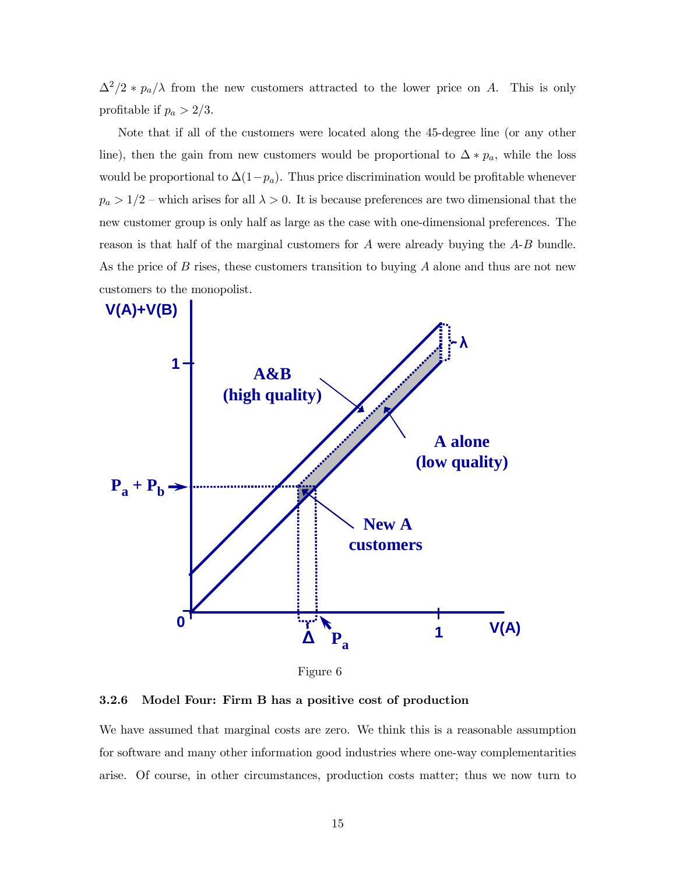$\Delta^2/2 * p_a/\lambda$  from the new customers attracted to the lower price on A. This is only profitable if  $p_a > 2/3$ .

Note that if all of the customers were located along the 45-degree line (or any other line), then the gain from new customers would be proportional to  $\Delta * p_a$ , while the loss would be proportional to  $\Delta(1-p_a)$ . Thus price discrimination would be profitable whenever  $p_a > 1/2$  – which arises for all  $\lambda > 0$ . It is because preferences are two dimensional that the new customer group is only half as large as the case with one-dimensional preferences. The reason is that half of the marginal customers for  $A$  were already buying the  $A-B$  bundle. As the price of  $B$  rises, these customers transition to buying  $A$  alone and thus are not new customers to the monopolist.



Figure 6

3.2.6 Model Four: Firm B has a positive cost of production

We have assumed that marginal costs are zero. We think this is a reasonable assumption for software and many other information good industries where one-way complementarities arise. Of course, in other circumstances, production costs matter; thus we now turn to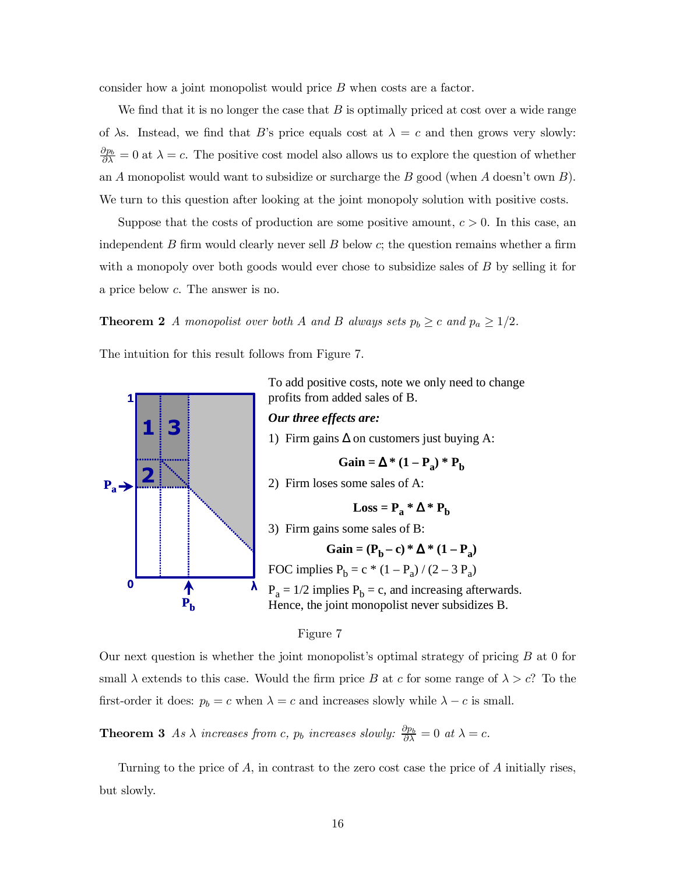consider how a joint monopolist would price B when costs are a factor.

We find that it is no longer the case that  $B$  is optimally priced at cost over a wide range of  $\lambda$ s. Instead, we find that B's price equals cost at  $\lambda = c$  and then grows very slowly:  $\frac{\partial p_b}{\partial \lambda} = 0$  at  $\lambda = c$ . The positive cost model also allows us to explore the question of whether an A monopolist would want to subsidize or surcharge the B good (when A doesn't own B). We turn to this question after looking at the joint monopoly solution with positive costs.

Suppose that the costs of production are some positive amount,  $c > 0$ . In this case, an independent B firm would clearly never sell B below c; the question remains whether a firm with a monopoly over both goods would ever chose to subsidize sales of B by selling it for a price below c. The answer is no.

**Theorem 2** A monopolist over both A and B always sets  $p_b \ge c$  and  $p_a \ge 1/2$ .

The intuition for this result follows from Figure 7.





Our next question is whether the joint monopolist's optimal strategy of pricing B at 0 for small  $\lambda$  extends to this case. Would the firm price B at c for some range of  $\lambda > c$ ? To the first-order it does:  $p_b = c$  when  $\lambda = c$  and increases slowly while  $\lambda - c$  is small.

**Theorem 3** As  $\lambda$  increases from c,  $p_b$  increases slowly:  $\frac{\partial p_b}{\partial \lambda} = 0$  at  $\lambda = c$ .

Turning to the price of A, in contrast to the zero cost case the price of A initially rises, but slowly.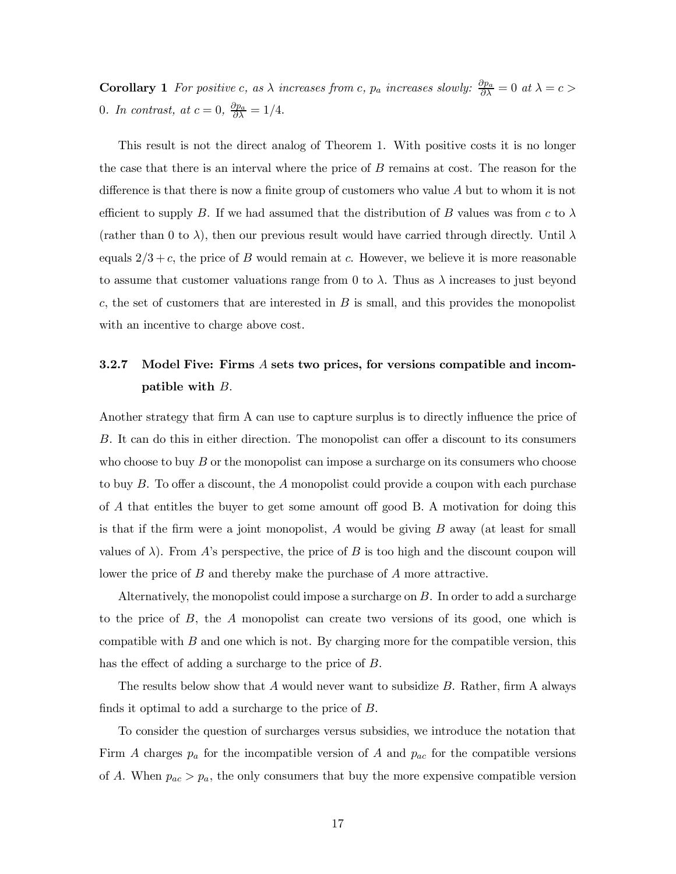**Corollary 1** For positive c, as  $\lambda$  increases from c,  $p_a$  increases slowly:  $\frac{\partial p_a}{\partial \lambda} = 0$  at  $\lambda = c >$ 0. In contrast, at  $c = 0$ ,  $\frac{\partial p_a}{\partial \lambda} = 1/4$ .

This result is not the direct analog of Theorem 1. With positive costs it is no longer the case that there is an interval where the price of B remains at cost. The reason for the difference is that there is now a finite group of customers who value A but to whom it is not efficient to supply B. If we had assumed that the distribution of B values was from c to  $\lambda$ (rather than 0 to  $\lambda$ ), then our previous result would have carried through directly. Until  $\lambda$ equals  $2/3 + c$ , the price of B would remain at c. However, we believe it is more reasonable to assume that customer valuations range from 0 to  $\lambda$ . Thus as  $\lambda$  increases to just beyond  $c$ , the set of customers that are interested in  $B$  is small, and this provides the monopolist with an incentive to charge above cost.

## 3.2.7 Model Five: Firms  $A$  sets two prices, for versions compatible and incompatible with B.

Another strategy that firm A can use to capture surplus is to directly influence the price of B. It can do this in either direction. The monopolist can offer a discount to its consumers who choose to buy  $B$  or the monopolist can impose a surcharge on its consumers who choose to buy  $B$ . To offer a discount, the  $A$  monopolist could provide a coupon with each purchase of A that entitles the buyer to get some amount off good B. A motivation for doing this is that if the firm were a joint monopolist, A would be giving  $B$  away (at least for small values of  $\lambda$ ). From A's perspective, the price of B is too high and the discount coupon will lower the price of B and thereby make the purchase of A more attractive.

Alternatively, the monopolist could impose a surcharge on  $B$ . In order to add a surcharge to the price of B, the A monopolist can create two versions of its good, one which is compatible with  $B$  and one which is not. By charging more for the compatible version, this has the effect of adding a surcharge to the price of B.

The results below show that A would never want to subsidize  $B$ . Rather, firm A always finds it optimal to add a surcharge to the price of B.

To consider the question of surcharges versus subsidies, we introduce the notation that Firm A charges  $p_a$  for the incompatible version of A and  $p_{ac}$  for the compatible versions of A. When  $p_{ac} > p_a$ , the only consumers that buy the more expensive compatible version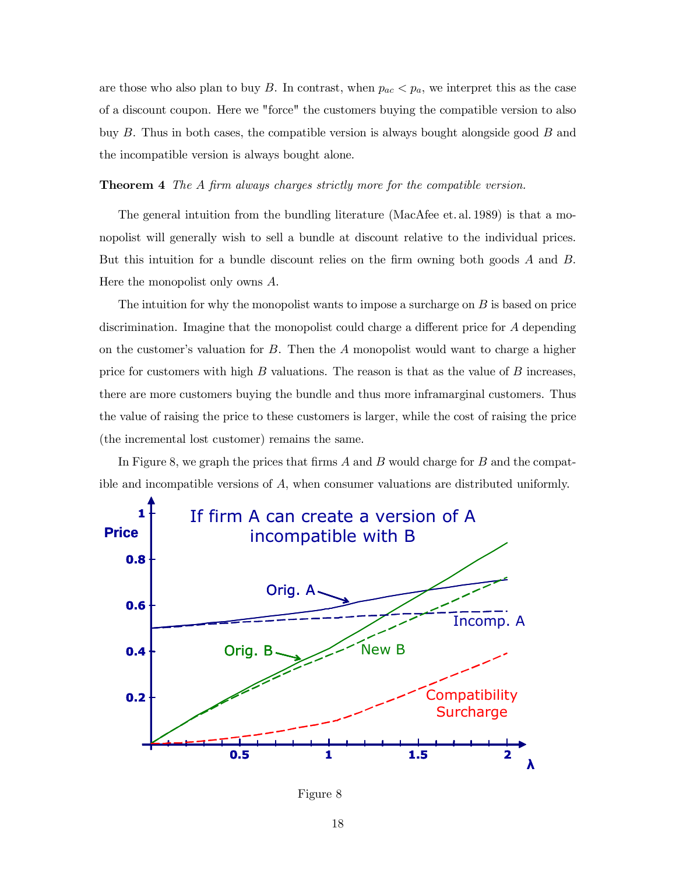are those who also plan to buy B. In contrast, when  $p_{ac} < p_a$ , we interpret this as the case of a discount coupon. Here we "force" the customers buying the compatible version to also buy  $B$ . Thus in both cases, the compatible version is always bought alongside good  $B$  and the incompatible version is always bought alone.

**Theorem 4** The A firm always charges strictly more for the compatible version.

The general intuition from the bundling literature (MacAfee et. al. 1989) is that a monopolist will generally wish to sell a bundle at discount relative to the individual prices. But this intuition for a bundle discount relies on the firm owning both goods A and B. Here the monopolist only owns A.

The intuition for why the monopolist wants to impose a surcharge on  $B$  is based on price discrimination. Imagine that the monopolist could charge a different price for A depending on the customer's valuation for  $B$ . Then the  $A$  monopolist would want to charge a higher price for customers with high  $B$  valuations. The reason is that as the value of  $B$  increases, there are more customers buying the bundle and thus more inframarginal customers. Thus the value of raising the price to these customers is larger, while the cost of raising the price (the incremental lost customer) remains the same.

In Figure 8, we graph the prices that firms A and B would charge for B and the compatible and incompatible versions of A, when consumer valuations are distributed uniformly.



Figure 8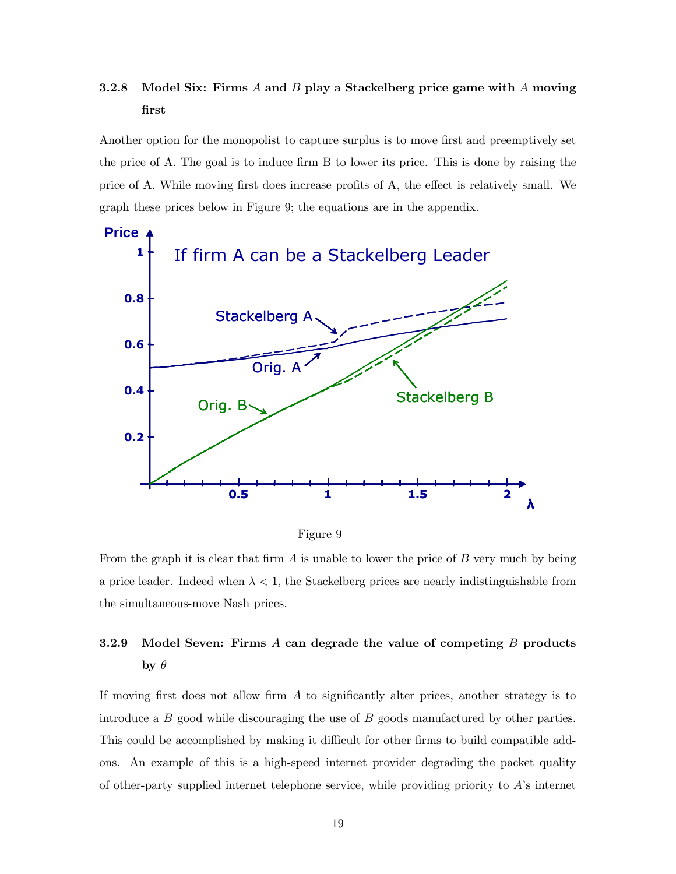# **3.2.8** Model Six: Firms A and B play a Stackelberg price game with A moving first

Another option for the monopolist to capture surplus is to move first and preemptively set the price of A. The goal is to induce firm B to lower its price. This is done by raising the price of A. While moving first does increase profits of A, the effect is relatively small. We graph these prices below in Figure 9; the equations are in the appendix.



Figure 9

From the graph it is clear that firm  $A$  is unable to lower the price of  $B$  very much by being a price leader. Indeed when  $\lambda < 1$ , the Stackelberg prices are nearly indistinguishable from the simultaneous-move Nash prices.

## 3.2.9 Model Seven: Firms A can degrade the value of competing  $B$  products by  $\theta$

If moving first does not allow firm  $A$  to significantly alter prices, another strategy is to introduce a B good while discouraging the use of B goods manufactured by other parties. This could be accomplished by making it difficult for other firms to build compatible addons. An example of this is a high-speed internet provider degrading the packet quality of other-party supplied internet telephone service, while providing priority to  $A$ 's internet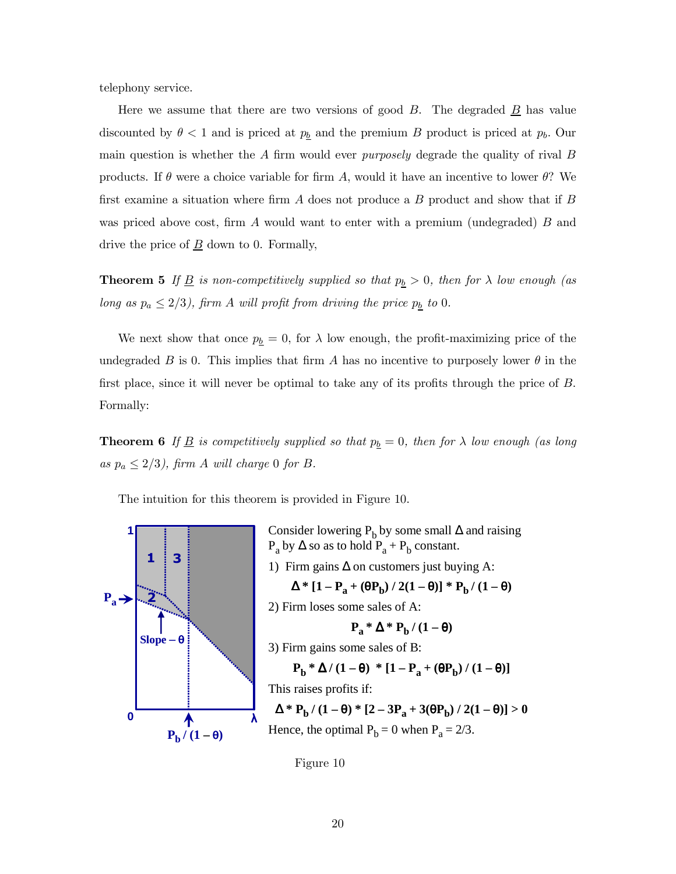telephony service.

Here we assume that there are two versions of good  $B$ . The degraded  $\underline{B}$  has value discounted by  $\theta < 1$  and is priced at  $p_{\underline{b}}$  and the premium B product is priced at  $p_{\underline{b}}$ . Our main question is whether the  $A$  firm would ever *purposely* degrade the quality of rival  $B$ products. If  $\theta$  were a choice variable for firm A, would it have an incentive to lower  $\theta$ ? We first examine a situation where firm  $A$  does not produce a  $B$  product and show that if  $B$ was priced above cost, firm A would want to enter with a premium (undegraded) B and drive the price of  $\underline{B}$  down to 0. Formally,

**Theorem 5** If <u>B</u> is non-competitively supplied so that  $p_b > 0$ , then for  $\lambda$  low enough (as long as  $p_a \leq 2/3$ , firm A will profit from driving the price  $p_b$  to 0.

We next show that once  $p_{\underline{b}} = 0$ , for  $\lambda$  low enough, the profit-maximizing price of the undegraded B is 0. This implies that firm A has no incentive to purposely lower  $\theta$  in the first place, since it will never be optimal to take any of its profits through the price of B. Formally:

**Theorem 6** If <u>B</u> is competitively supplied so that  $p_{\underline{b}} = 0$ , then for  $\lambda$  low enough (as long as  $p_a \leq 2/3$ ), firm A will charge 0 for B.

The intuition for this theorem is provided in Figure 10.



Consider lowering  $P_b$  by some small  $\Delta$  and raising  $P_a$  by  $\Delta$  so as to hold  $P_a + P_b$  constant. 1) Firm gains ∆ on customers just buying A:  $\Delta$  \* [1 – P<sub>a</sub> + ( $\theta$ P<sub>b</sub>) / 2(1 –  $\theta$ )] \* P<sub>b</sub> / (1 –  $\theta$ ) 2) Firm loses some sales of A: **P**<sub>**a**</sub>  $*$  Δ  $*$  **P**<sub>**b</sub>**  $/(1 - θ)$ **</sub>** 3) Firm gains some sales of B:  $P_b * \Delta / (1 - \theta) * [1 - P_a + (\theta P_b) / (1 - \theta)]$ This raises profits if:  $\Delta$  \* P<sub>b</sub> / (1 – θ) \* [2 – 3P<sub>a</sub> + 3(θP<sub>b</sub>) / 2(1 – θ)] > 0 Hence, the optimal  $P_b = 0$  when  $P_a = 2/3$ .

Figure 10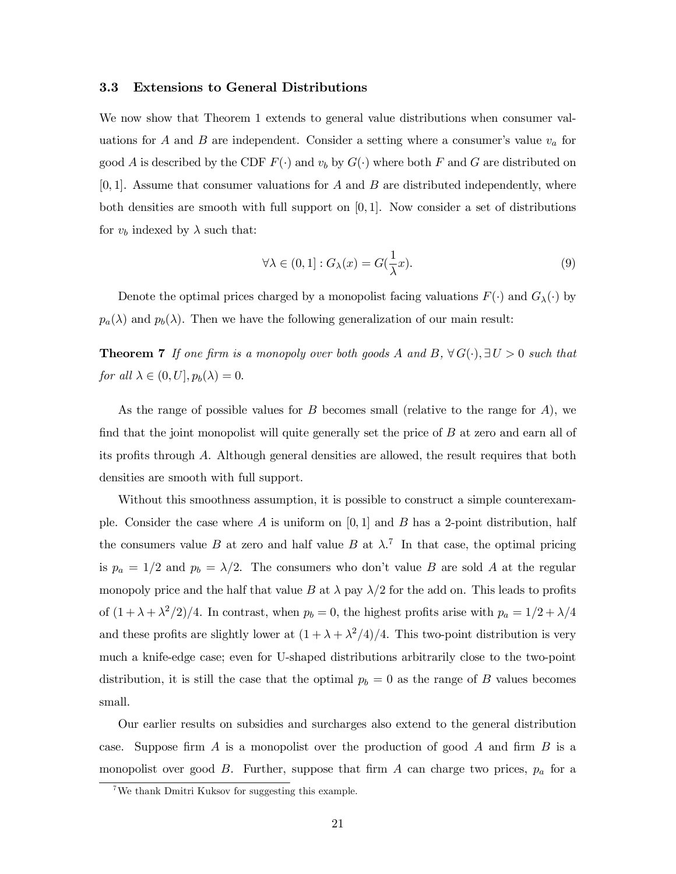#### 3.3 Extensions to General Distributions

We now show that Theorem 1 extends to general value distributions when consumer valuations for A and B are independent. Consider a setting where a consumer's value  $v_a$  for good A is described by the CDF  $F(\cdot)$  and  $v_b$  by  $G(\cdot)$  where both F and G are distributed on  $[0, 1]$ . Assume that consumer valuations for A and B are distributed independently, where both densities are smooth with full support on  $[0, 1]$ . Now consider a set of distributions for  $v_b$  indexed by  $\lambda$  such that:

$$
\forall \lambda \in (0,1] : G_{\lambda}(x) = G(\frac{1}{\lambda}x). \tag{9}
$$

Denote the optimal prices charged by a monopolist facing valuations  $F(\cdot)$  and  $G_{\lambda}(\cdot)$  by  $p_a(\lambda)$  and  $p_b(\lambda)$ . Then we have the following generalization of our main result:

**Theorem 7** If one firm is a monopoly over both goods A and B,  $\forall G(\cdot), \exists U > 0$  such that for all  $\lambda \in (0, U], p_b(\lambda) = 0.$ 

As the range of possible values for  $B$  becomes small (relative to the range for  $A$ ), we find that the joint monopolist will quite generally set the price of B at zero and earn all of its profits through A. Although general densities are allowed, the result requires that both densities are smooth with full support.

Without this smoothness assumption, it is possible to construct a simple counterexample. Consider the case where A is uniform on  $[0, 1]$  and B has a 2-point distribution, half the consumers value B at zero and half value B at  $\lambda$ .<sup>7</sup> In that case, the optimal pricing is  $p_a = 1/2$  and  $p_b = \lambda/2$ . The consumers who don't value B are sold A at the regular monopoly price and the half that value B at  $\lambda$  pay  $\lambda/2$  for the add on. This leads to profits of  $(1 + \lambda + \lambda^2/2)/4$ . In contrast, when  $p_b = 0$ , the highest profits arise with  $p_a = 1/2 + \lambda/4$ and these profits are slightly lower at  $(1 + \lambda + \lambda^2/4)/4$ . This two-point distribution is very much a knife-edge case; even for U-shaped distributions arbitrarily close to the two-point distribution, it is still the case that the optimal  $p_b = 0$  as the range of B values becomes small.

Our earlier results on subsidies and surcharges also extend to the general distribution case. Suppose firm A is a monopolist over the production of good A and firm B is a monopolist over good  $B$ . Further, suppose that firm  $A$  can charge two prices,  $p_a$  for a

<sup>&</sup>lt;sup>7</sup>We thank Dmitri Kuksov for suggesting this example.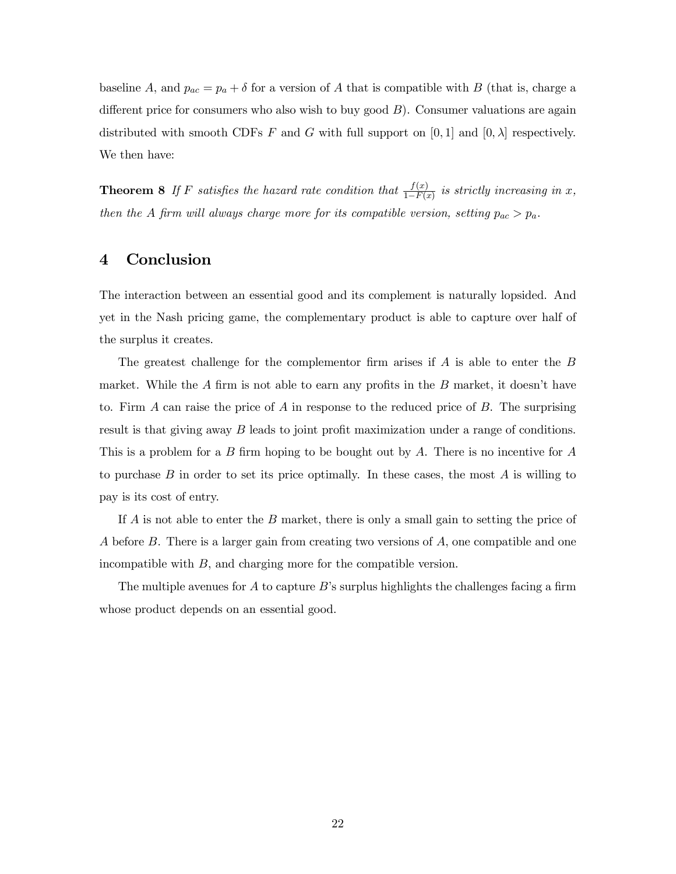baseline A, and  $p_{ac} = p_a + \delta$  for a version of A that is compatible with B (that is, charge a different price for consumers who also wish to buy good  $B$ ). Consumer valuations are again distributed with smooth CDFs F and G with full support on  $[0, 1]$  and  $[0, \lambda]$  respectively. We then have:

**Theorem 8** If F satisfies the hazard rate condition that  $\frac{f(x)}{1-F(x)}$  is strictly increasing in x, then the A firm will always charge more for its compatible version, setting  $p_{ac} > p_a$ .

## 4 Conclusion

The interaction between an essential good and its complement is naturally lopsided. And yet in the Nash pricing game, the complementary product is able to capture over half of the surplus it creates.

The greatest challenge for the complementor firm arises if  $A$  is able to enter the  $B$ market. While the A firm is not able to earn any profits in the B market, it doesn't have to. Firm A can raise the price of A in response to the reduced price of B. The surprising result is that giving away B leads to joint profit maximization under a range of conditions. This is a problem for a B firm hoping to be bought out by A. There is no incentive for  $A$ to purchase  $B$  in order to set its price optimally. In these cases, the most  $A$  is willing to pay is its cost of entry.

If A is not able to enter the B market, there is only a small gain to setting the price of A before B. There is a larger gain from creating two versions of A, one compatible and one incompatible with B, and charging more for the compatible version.

The multiple avenues for  $A$  to capture  $B$ 's surplus highlights the challenges facing a firm whose product depends on an essential good.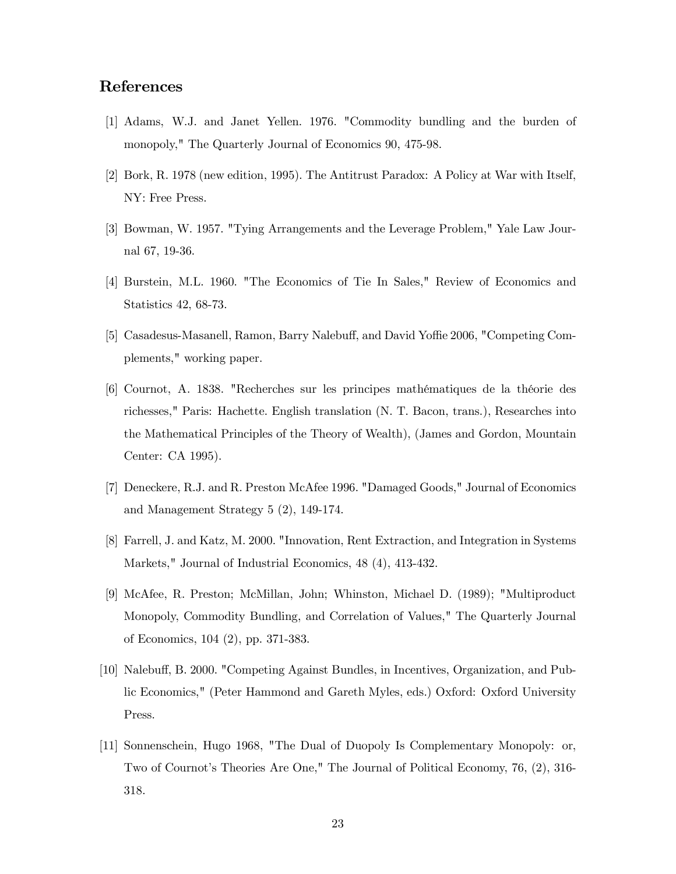## References

- [1] Adams, W.J. and Janet Yellen. 1976. "Commodity bundling and the burden of monopoly," The Quarterly Journal of Economics 90, 475-98.
- [2] Bork, R. 1978 (new edition, 1995). The Antitrust Paradox: A Policy at War with Itself, NY: Free Press.
- [3] Bowman, W. 1957. "Tying Arrangements and the Leverage Problem," Yale Law Journal 67, 19-36.
- [4] Burstein, M.L. 1960. "The Economics of Tie In Sales," Review of Economics and Statistics 42, 68-73.
- [5] Casadesus-Masanell, Ramon, Barry Nalebuff, and David Yoffie 2006, "Competing Complements," working paper.
- [6] Cournot, A. 1838. "Recherches sur les principes mathématiques de la théorie des richesses," Paris: Hachette. English translation (N. T. Bacon, trans.), Researches into the Mathematical Principles of the Theory of Wealth), (James and Gordon, Mountain Center: CA 1995).
- [7] Deneckere, R.J. and R. Preston McAfee 1996. "Damaged Goods," Journal of Economics and Management Strategy 5 (2), 149-174.
- [8] Farrell, J. and Katz, M. 2000. "Innovation, Rent Extraction, and Integration in Systems Markets," Journal of Industrial Economics, 48 (4), 413-432.
- [9] McAfee, R. Preston; McMillan, John; Whinston, Michael D. (1989); "Multiproduct Monopoly, Commodity Bundling, and Correlation of Values," The Quarterly Journal of Economics, 104 (2), pp. 371-383.
- [10] Nalebuff, B. 2000. "Competing Against Bundles, in Incentives, Organization, and Public Economics," (Peter Hammond and Gareth Myles, eds.) Oxford: Oxford University Press.
- [11] Sonnenschein, Hugo 1968, "The Dual of Duopoly Is Complementary Monopoly: or, Two of Cournot's Theories Are One," The Journal of Political Economy, 76, (2), 316- 318.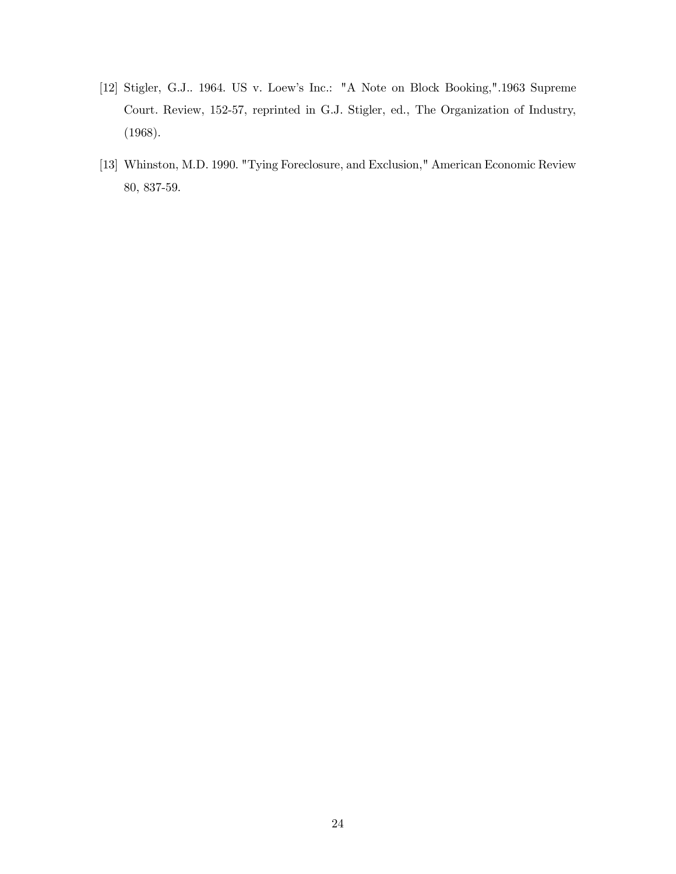- [12] Stigler, G.J.. 1964. US v. Loew's Inc.: "A Note on Block Booking,".1963 Supreme Court. Review, 152-57, reprinted in G.J. Stigler, ed., The Organization of Industry, (1968).
- [13] Whinston, M.D. 1990. "Tying Foreclosure, and Exclusion," American Economic Review 80, 837-59.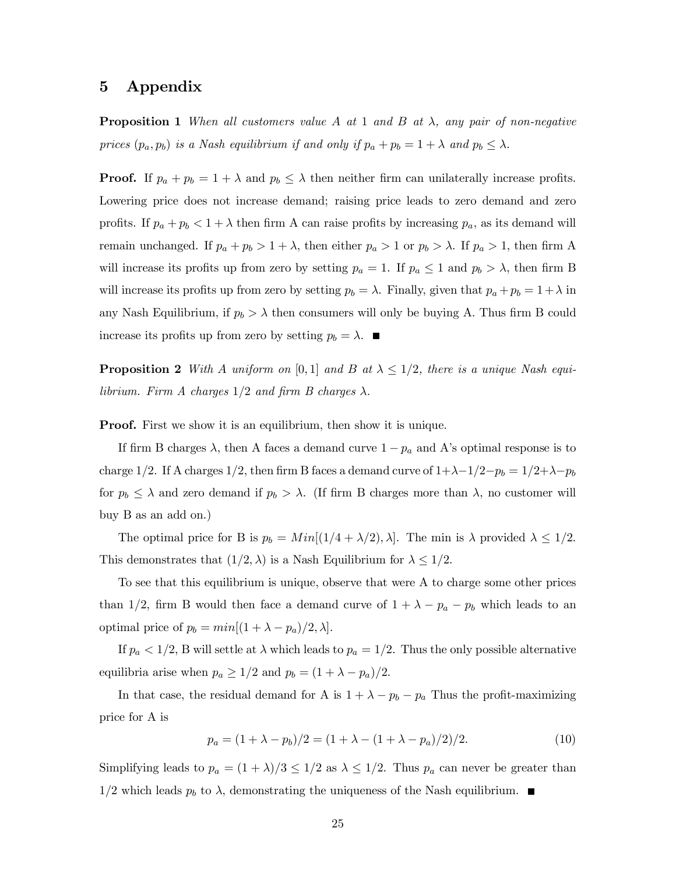## 5 Appendix

**Proposition 1** When all customers value A at 1 and B at  $\lambda$ , any pair of non-negative prices  $(p_a, p_b)$  is a Nash equilibrium if and only if  $p_a + p_b = 1 + \lambda$  and  $p_b \leq \lambda$ .

**Proof.** If  $p_a + p_b = 1 + \lambda$  and  $p_b \leq \lambda$  then neither firm can unilaterally increase profits. Lowering price does not increase demand; raising price leads to zero demand and zero profits. If  $p_a + p_b < 1 + \lambda$  then firm A can raise profits by increasing  $p_a$ , as its demand will remain unchanged. If  $p_a + p_b > 1 + \lambda$ , then either  $p_a > 1$  or  $p_b > \lambda$ . If  $p_a > 1$ , then firm A will increase its profits up from zero by setting  $p_a = 1$ . If  $p_a \leq 1$  and  $p_b > \lambda$ , then firm B will increase its profits up from zero by setting  $p_b = \lambda$ . Finally, given that  $p_a + p_b = 1 + \lambda$  in any Nash Equilibrium, if  $p_b > \lambda$  then consumers will only be buying A. Thus firm B could increase its profits up from zero by setting  $p_b = \lambda$ .

**Proposition 2** With A uniform on [0,1] and B at  $\lambda \leq 1/2$ , there is a unique Nash equilibrium. Firm A charges  $1/2$  and firm B charges  $\lambda$ .

**Proof.** First we show it is an equilibrium, then show it is unique.

If firm B charges  $\lambda$ , then A faces a demand curve  $1 - p_a$  and A's optimal response is to charge 1/2. If A charges 1/2, then firm B faces a demand curve of  $1+\lambda-1/2-p_b = 1/2+\lambda-p_b$ for  $p_b \leq \lambda$  and zero demand if  $p_b > \lambda$ . (If firm B charges more than  $\lambda$ , no customer will buy B as an add on.)

The optimal price for B is  $p_b = Min[(1/4 + \lambda/2), \lambda]$ . The min is  $\lambda$  provided  $\lambda \leq 1/2$ . This demonstrates that  $(1/2, \lambda)$  is a Nash Equilibrium for  $\lambda \leq 1/2$ .

To see that this equilibrium is unique, observe that were A to charge some other prices than 1/2, firm B would then face a demand curve of  $1 + \lambda - p_a - p_b$  which leads to an optimal price of  $p_b = min[(1 + \lambda - p_a)/2, \lambda]$ .

If  $p_a < 1/2$ , B will settle at  $\lambda$  which leads to  $p_a = 1/2$ . Thus the only possible alternative equilibria arise when  $p_a \geq 1/2$  and  $p_b = (1 + \lambda - p_a)/2$ .

In that case, the residual demand for A is  $1 + \lambda - p_b - p_a$  Thus the profit-maximizing price for A is

$$
p_a = (1 + \lambda - p_b)/2 = (1 + \lambda - (1 + \lambda - p_a)/2)/2.
$$
 (10)

Simplifying leads to  $p_a = (1 + \lambda)/3 \leq 1/2$  as  $\lambda \leq 1/2$ . Thus  $p_a$  can never be greater than  $1/2$  which leads  $p_b$  to  $\lambda$ , demonstrating the uniqueness of the Nash equilibrium.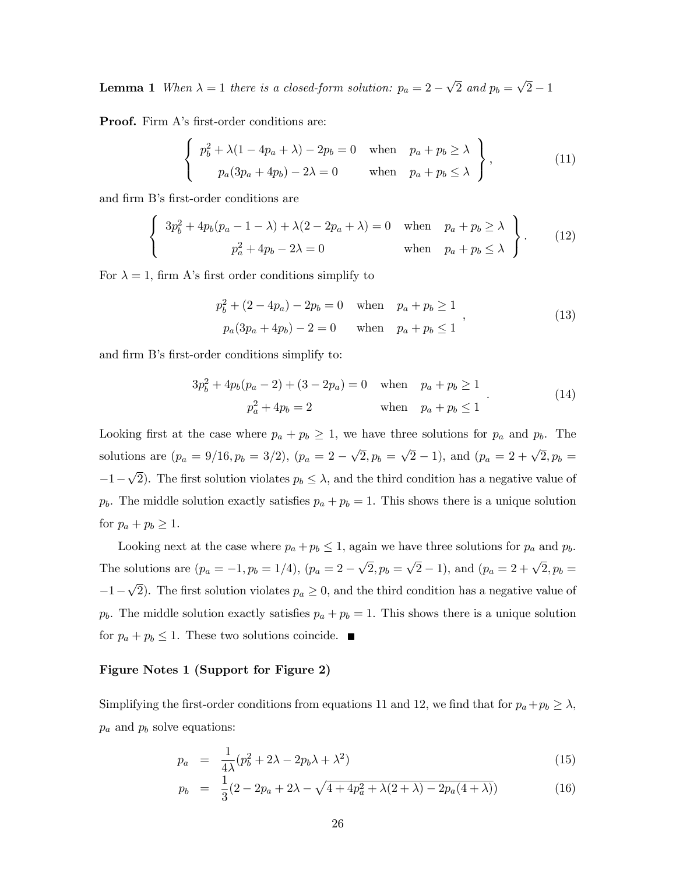**Lemma 1** When  $\lambda = 1$  there is a closed-form solution:  $p_a = 2 - \sqrt{2}$  and  $p_b = \sqrt{2} - 1$ 

Proof. Firm A's first-order conditions are:

$$
\begin{cases}\n p_b^2 + \lambda (1 - 4p_a + \lambda) - 2p_b = 0 & \text{when } p_a + p_b \ge \lambda \\
 p_a(3p_a + 4p_b) - 2\lambda = 0 & \text{when } p_a + p_b \le \lambda\n\end{cases},
$$
\n(11)

and firm B's first-order conditions are

$$
\begin{cases}\n3p_b^2 + 4p_b(p_a - 1 - \lambda) + \lambda(2 - 2p_a + \lambda) = 0 & \text{when } p_a + p_b \ge \lambda \\
p_a^2 + 4p_b - 2\lambda = 0 & \text{when } p_a + p_b \le \lambda\n\end{cases}
$$
\n(12)

For  $\lambda = 1$ , firm A's first order conditions simplify to

$$
p_b^2 + (2 - 4p_a) - 2p_b = 0 \quad \text{when} \quad p_a + p_b \ge 1
$$
  
\n
$$
p_a(3p_a + 4p_b) - 2 = 0 \quad \text{when} \quad p_a + p_b \le 1
$$
\n(13)

and firm B's first-order conditions simplify to:

$$
3p_b^2 + 4p_b(p_a - 2) + (3 - 2p_a) = 0 \quad \text{when} \quad p_a + p_b \ge 1
$$
  

$$
p_a^2 + 4p_b = 2 \qquad \text{when} \quad p_a + p_b \le 1
$$
 (14)

Looking first at the case where  $p_a + p_b \ge 1$ , we have three solutions for  $p_a$  and  $p_b$ . The solutions are  $(p_a = 9/16, p_b = 3/2), (p_a = 2 - \sqrt{2}, p_b = \sqrt{2} - 1),$  and  $(p_a = 2 + \sqrt{2}, p_b =$  $-1-\sqrt{2}$ ). The first solution violates  $p_b \leq \lambda$ , and the third condition has a negative value of  $p_b$ . The middle solution exactly satisfies  $p_a + p_b = 1$ . This shows there is a unique solution for  $p_a + p_b \geq 1$ .

Looking next at the case where  $p_a + p_b \leq 1$ , again we have three solutions for  $p_a$  and  $p_b$ . The solutions are  $(p_a = -1, p_b = 1/4)$ ,  $(p_a = 2 - \sqrt{2}, p_b = \sqrt{2} - 1)$ , and  $(p_a = 2 + \sqrt{2}, p_b = 1/4)$  $-1-\sqrt{2}$ ). The first solution violates  $p_a \geq 0$ , and the third condition has a negative value of  $p_b$ . The middle solution exactly satisfies  $p_a + p_b = 1$ . This shows there is a unique solution for  $p_a + p_b \leq 1$ . These two solutions coincide.

### Figure Notes 1 (Support for Figure 2)

Simplifying the first-order conditions from equations 11 and 12, we find that for  $p_a + p_b \geq \lambda$ ,  $p_a$  and  $p_b$  solve equations:

$$
p_a = \frac{1}{4\lambda}(p_b^2 + 2\lambda - 2p_b\lambda + \lambda^2)
$$
\n(15)

$$
p_b = \frac{1}{3}(2 - 2p_a + 2\lambda - \sqrt{4 + 4p_a^2 + \lambda(2 + \lambda) - 2p_a(4 + \lambda)})
$$
(16)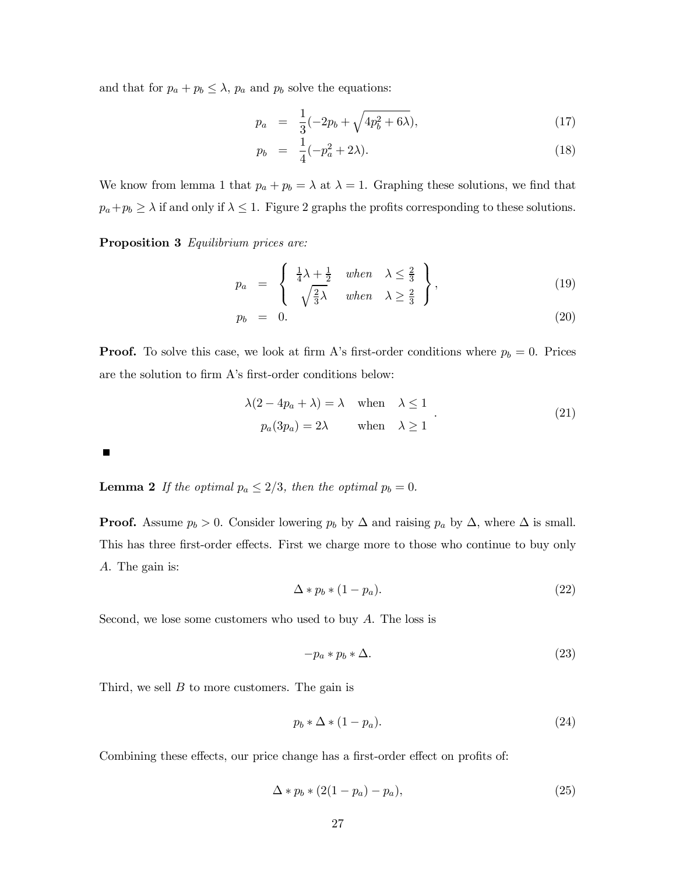and that for  $p_a + p_b \leq \lambda$ ,  $p_a$  and  $p_b$  solve the equations:

$$
p_a = \frac{1}{3}(-2p_b + \sqrt{4p_b^2 + 6\lambda}), \tag{17}
$$

$$
p_b = \frac{1}{4}(-p_a^2 + 2\lambda). \tag{18}
$$

We know from lemma 1 that  $p_a + p_b = \lambda$  at  $\lambda = 1$ . Graphing these solutions, we find that  $p_a+p_b \geq \lambda$  if and only if  $\lambda \leq 1$ . Figure 2 graphs the profits corresponding to these solutions.

Proposition 3 Equilibrium prices are:

$$
p_a = \begin{cases} \frac{1}{4}\lambda + \frac{1}{2} & when \quad \lambda \le \frac{2}{3} \\ \sqrt{\frac{2}{3}}\lambda & when \quad \lambda \ge \frac{2}{3} \end{cases},
$$
 (19)

$$
p_b = 0. \t\t(20)
$$

**Proof.** To solve this case, we look at firm A's first-order conditions where  $p_b = 0$ . Prices are the solution to firm A's first-order conditions below:

$$
\lambda(2 - 4p_a + \lambda) = \lambda \quad \text{when} \quad \lambda \le 1
$$
  
\n
$$
p_a(3p_a) = 2\lambda \qquad \text{when} \quad \lambda \ge 1
$$
\n(21)

 $\blacksquare$ 

**Lemma 2** If the optimal  $p_a \leq 2/3$ , then the optimal  $p_b = 0$ .

**Proof.** Assume  $p_b > 0$ . Consider lowering  $p_b$  by  $\Delta$  and raising  $p_a$  by  $\Delta$ , where  $\Delta$  is small. This has three first-order effects. First we charge more to those who continue to buy only A. The gain is:

$$
\Delta * p_b * (1 - p_a). \tag{22}
$$

Second, we lose some customers who used to buy A. The loss is

$$
-p_a * p_b * \Delta. \tag{23}
$$

Third, we sell  $B$  to more customers. The gain is

$$
p_b * \Delta * (1 - p_a). \tag{24}
$$

Combining these effects, our price change has a first-order effect on profits of:

$$
\Delta * p_b * (2(1 - p_a) - p_a), \tag{25}
$$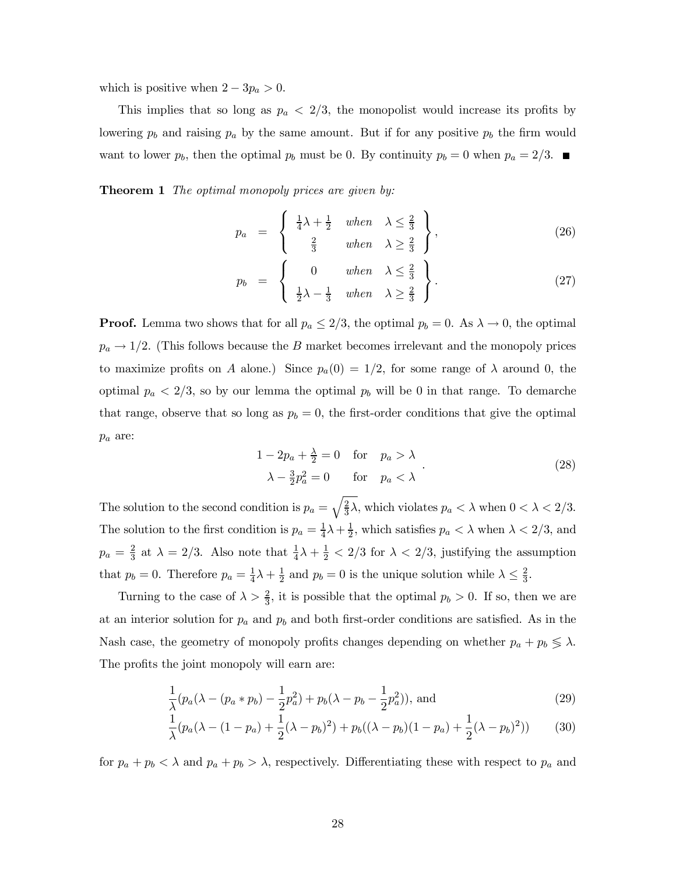which is positive when  $2 - 3p_a > 0$ .

This implies that so long as  $p_a < 2/3$ , the monopolist would increase its profits by lowering  $p_b$  and raising  $p_a$  by the same amount. But if for any positive  $p_b$  the firm would want to lower  $p_b$ , then the optimal  $p_b$  must be 0. By continuity  $p_b = 0$  when  $p_a = 2/3$ .

**Theorem 1** The optimal monopoly prices are given by:

$$
p_a = \begin{cases} \frac{1}{4}\lambda + \frac{1}{2} & when \quad \lambda \le \frac{2}{3} \\ \frac{2}{3} & when \quad \lambda \ge \frac{2}{3} \end{cases},
$$
 (26)

$$
p_b = \begin{cases} 0 & when & \lambda \le \frac{2}{3} \\ \frac{1}{2}\lambda - \frac{1}{3} & when & \lambda \ge \frac{2}{3} \end{cases}.
$$
 (27)

**Proof.** Lemma two shows that for all  $p_a \leq 2/3$ , the optimal  $p_b = 0$ . As  $\lambda \to 0$ , the optimal  $p_a \rightarrow 1/2$ . (This follows because the B market becomes irrelevant and the monopoly prices to maximize profits on A alone.) Since  $p_a(0) = 1/2$ , for some range of  $\lambda$  around 0, the optimal  $p_a < 2/3$ , so by our lemma the optimal  $p_b$  will be 0 in that range. To demarche that range, observe that so long as  $p_b = 0$ , the first-order conditions that give the optimal p<sup>a</sup> are:

$$
1 - 2p_a + \frac{\lambda}{2} = 0 \quad \text{for} \quad p_a > \lambda
$$
  

$$
\lambda - \frac{3}{2}p_a^2 = 0 \quad \text{for} \quad p_a < \lambda
$$
 (28)

The solution to the second condition is  $p_a = \sqrt{\frac{2}{3}\lambda}$ , which violates  $p_a < \lambda$  when  $0 < \lambda < 2/3$ . The solution to the first condition is  $p_a = \frac{1}{4}\lambda + \frac{1}{2}$ , which satisfies  $p_a < \lambda$  when  $\lambda < 2/3$ , and  $p_a = \frac{2}{3}$  $\frac{2}{3}$  at  $\lambda = 2/3$ . Also note that  $\frac{1}{4}\lambda + \frac{1}{2} < 2/3$  for  $\lambda < 2/3$ , justifying the assumption that  $p_b = 0$ . Therefore  $p_a = \frac{1}{4}\lambda + \frac{1}{2}$  and  $p_b = 0$  is the unique solution while  $\lambda \leq \frac{2}{3}$ .

Turning to the case of  $\lambda > \frac{2}{3}$ , it is possible that the optimal  $p_b > 0$ . If so, then we are at an interior solution for  $p_a$  and  $p_b$  and both first-order conditions are satisfied. As in the Nash case, the geometry of monopoly profits changes depending on whether  $p_a + p_b \leq \lambda$ . The profits the joint monopoly will earn are:

$$
\frac{1}{\lambda}(p_a(\lambda - (p_a * p_b) - \frac{1}{2}p_a^2) + p_b(\lambda - p_b - \frac{1}{2}p_a^2)), \text{ and } (29)
$$

$$
\frac{1}{\lambda}(p_a(\lambda - (1 - p_a) + \frac{1}{2}(\lambda - p_b)^2) + p_b((\lambda - p_b)(1 - p_a) + \frac{1}{2}(\lambda - p_b)^2))
$$
 (30)

for  $p_a + p_b < \lambda$  and  $p_a + p_b > \lambda$ , respectively. Differentiating these with respect to  $p_a$  and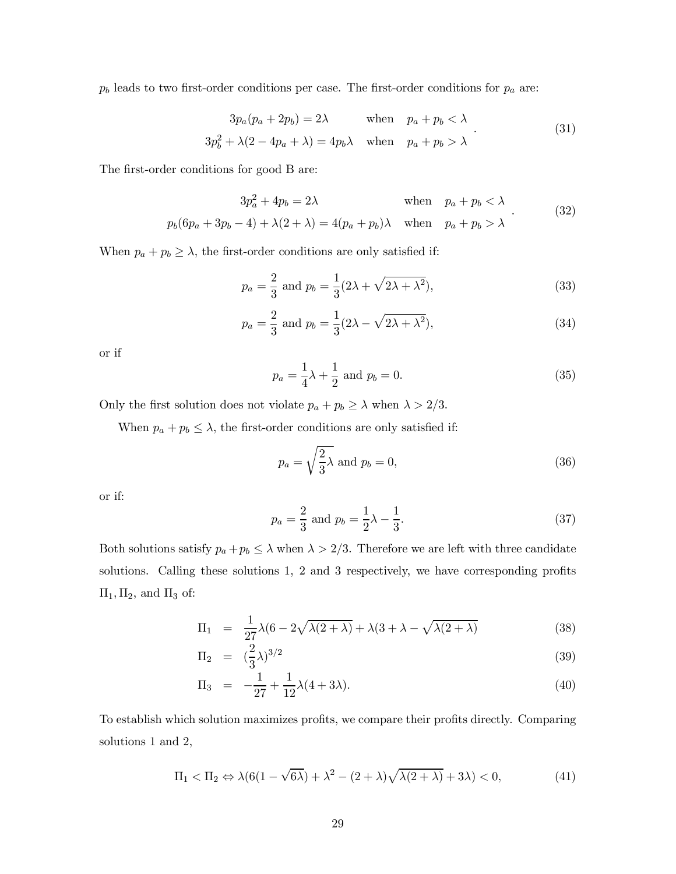$p_b$  leads to two first-order conditions per case. The first-order conditions for  $p_a$  are:

$$
3p_a(p_a + 2p_b) = 2\lambda \quad \text{when} \quad p_a + p_b < \lambda
$$
\n
$$
3p_b^2 + \lambda(2 - 4p_a + \lambda) = 4p_b\lambda \quad \text{when} \quad p_a + p_b > \lambda \tag{31}
$$

The first-order conditions for good B are:

$$
3p_a^2 + 4p_b = 2\lambda \qquad \text{when} \quad p_a + p_b < \lambda
$$
\n
$$
p_b(6p_a + 3p_b - 4) + \lambda(2 + \lambda) = 4(p_a + p_b)\lambda \qquad \text{when} \quad p_a + p_b > \lambda \tag{32}
$$

When  $p_a + p_b \geq \lambda$ , the first-order conditions are only satisfied if:

$$
p_a = \frac{2}{3}
$$
 and  $p_b = \frac{1}{3}(2\lambda + \sqrt{2\lambda + \lambda^2}),$  (33)

$$
p_a = \frac{2}{3}
$$
 and  $p_b = \frac{1}{3}(2\lambda - \sqrt{2\lambda + \lambda^2}),$  (34)

or if

$$
p_a = \frac{1}{4}\lambda + \frac{1}{2} \text{ and } p_b = 0.
$$
 (35)

Only the first solution does not violate  $p_a + p_b \geq \lambda$  when  $\lambda > 2/3$ .

When  $p_a + p_b \leq \lambda$ , the first-order conditions are only satisfied if:

$$
p_a = \sqrt{\frac{2}{3}} \lambda \text{ and } p_b = 0,
$$
\n(36)

or if:

$$
p_a = \frac{2}{3} \text{ and } p_b = \frac{1}{2}\lambda - \frac{1}{3}.
$$
 (37)

Both solutions satisfy  $p_a + p_b \leq \lambda$  when  $\lambda > 2/3$ . Therefore we are left with three candidate solutions. Calling these solutions 1, 2 and 3 respectively, we have corresponding profits  $\Pi_1, \Pi_2$ , and  $\Pi_3$  of:

$$
\Pi_1 = \frac{1}{27}\lambda(6 - 2\sqrt{\lambda(2 + \lambda)} + \lambda(3 + \lambda - \sqrt{\lambda(2 + \lambda)})
$$
\n(38)

$$
\Pi_2 = (\frac{2}{3}\lambda)^{3/2} \tag{39}
$$

$$
\Pi_3 = -\frac{1}{27} + \frac{1}{12}\lambda(4+3\lambda). \tag{40}
$$

To establish which solution maximizes profits, we compare their profits directly. Comparing solutions 1 and 2,

$$
\Pi_1 < \Pi_2 \Leftrightarrow \lambda (6(1 - \sqrt{6\lambda}) + \lambda^2 - (2 + \lambda)\sqrt{\lambda(2 + \lambda)} + 3\lambda) < 0,\tag{41}
$$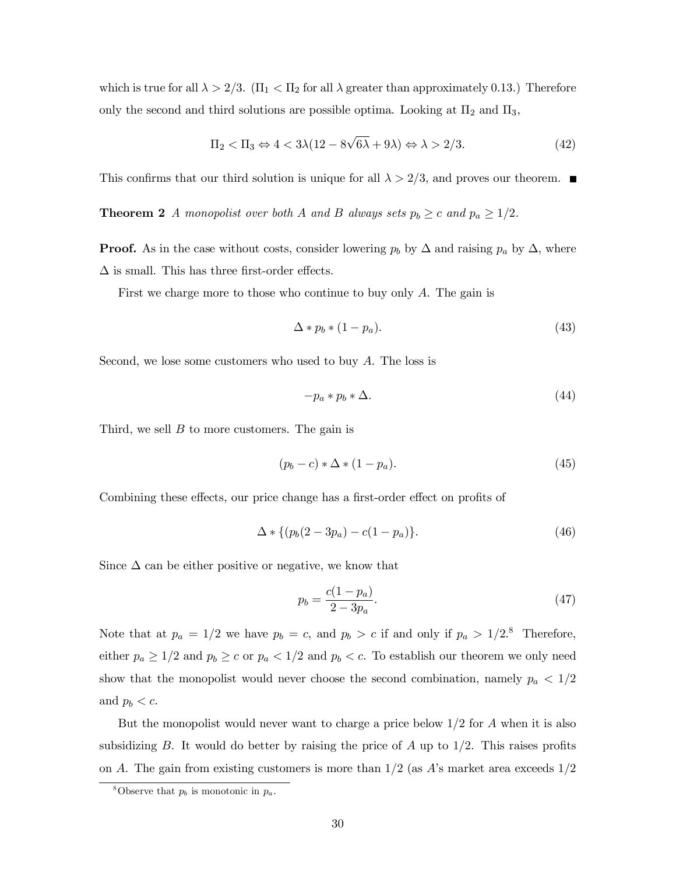which is true for all  $\lambda > 2/3$ . ( $\Pi_1 < \Pi_2$  for all  $\lambda$  greater than approximately 0.13.) Therefore only the second and third solutions are possible optima. Looking at  $\Pi_2$  and  $\Pi_3$ ,

$$
\Pi_2 < \Pi_3 \Leftrightarrow 4 < 3\lambda(12 - 8\sqrt{6\lambda} + 9\lambda) \Leftrightarrow \lambda > 2/3. \tag{42}
$$

This confirms that our third solution is unique for all  $\lambda > 2/3$ , and proves our theorem.

**Theorem 2** A monopolist over both A and B always sets  $p_b \ge c$  and  $p_a \ge 1/2$ .

**Proof.** As in the case without costs, consider lowering  $p_b$  by  $\Delta$  and raising  $p_a$  by  $\Delta$ , where  $\Delta$  is small. This has three first-order effects.

First we charge more to those who continue to buy only  $A$ . The gain is

$$
\Delta * p_b * (1 - p_a). \tag{43}
$$

Second, we lose some customers who used to buy A. The loss is

$$
-p_a * p_b * \Delta. \tag{44}
$$

Third, we sell  $B$  to more customers. The gain is

$$
(p_b - c) * \Delta * (1 - p_a). \tag{45}
$$

Combining these effects, our price change has a first-order effect on profits of

$$
\Delta * \{ (p_b(2 - 3p_a) - c(1 - p_a) \}.
$$
\n(46)

Since  $\Delta$  can be either positive or negative, we know that

$$
p_b = \frac{c(1 - p_a)}{2 - 3p_a}.
$$
\n(47)

Note that at  $p_a = 1/2$  we have  $p_b = c$ , and  $p_b > c$  if and only if  $p_a > 1/2$ .<sup>8</sup> Therefore, either  $p_a \ge 1/2$  and  $p_b \ge c$  or  $p_a < 1/2$  and  $p_b < c$ . To establish our theorem we only need show that the monopolist would never choose the second combination, namely  $p_a < 1/2$ and  $p_b < c$ .

But the monopolist would never want to charge a price below  $1/2$  for  $A$  when it is also subsidizing B. It would do better by raising the price of  $A$  up to  $1/2$ . This raises profits on A. The gain from existing customers is more than  $1/2$  (as A's market area exceeds  $1/2$ 

<sup>&</sup>lt;sup>8</sup>Observe that  $p_b$  is monotonic in  $p_a$ .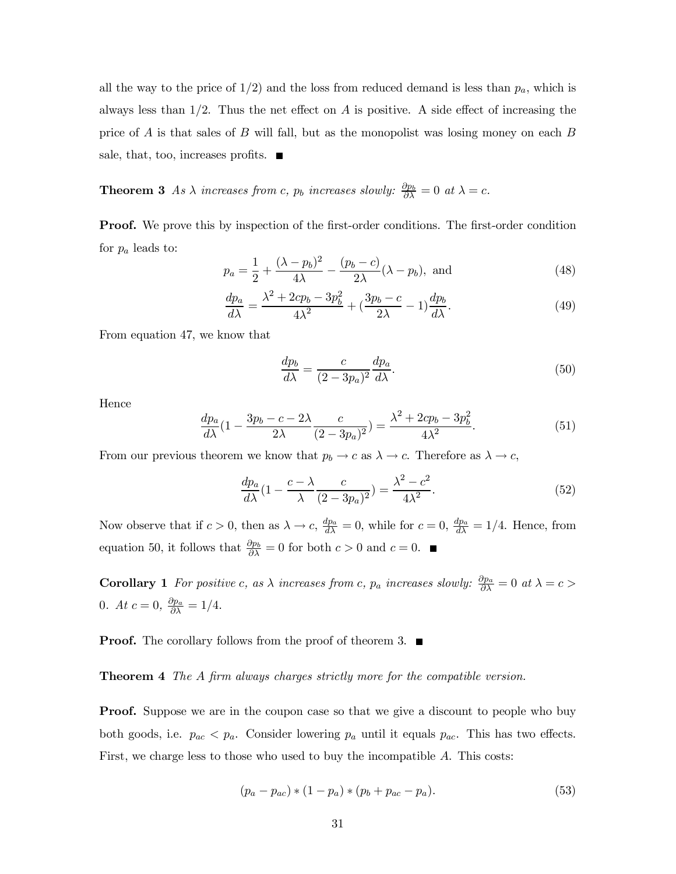all the way to the price of  $1/2$ ) and the loss from reduced demand is less than  $p_a$ , which is always less than  $1/2$ . Thus the net effect on A is positive. A side effect of increasing the price of  $A$  is that sales of  $B$  will fall, but as the monopolist was losing money on each  $B$ sale, that, too, increases profits.  $\blacksquare$ 

**Theorem 3** As  $\lambda$  increases from c,  $p_b$  increases slowly:  $\frac{\partial p_b}{\partial \lambda} = 0$  at  $\lambda = c$ .

Proof. We prove this by inspection of the first-order conditions. The first-order condition for  $p_a$  leads to:

$$
p_a = \frac{1}{2} + \frac{(\lambda - p_b)^2}{4\lambda} - \frac{(p_b - c)}{2\lambda}(\lambda - p_b), \text{ and}
$$
\n(48)

$$
\frac{dp_a}{d\lambda} = \frac{\lambda^2 + 2cp_b - 3p_b^2}{4\lambda^2} + \left(\frac{3p_b - c}{2\lambda} - 1\right)\frac{dp_b}{d\lambda}.\tag{49}
$$

From equation 47, we know that

$$
\frac{dp_b}{d\lambda} = \frac{c}{(2 - 3p_a)^2} \frac{dp_a}{d\lambda}.\tag{50}
$$

Hence

$$
\frac{dp_a}{d\lambda}(1 - \frac{3p_b - c - 2\lambda}{2\lambda} \frac{c}{(2 - 3p_a)^2}) = \frac{\lambda^2 + 2cp_b - 3p_b^2}{4\lambda^2}.
$$
(51)

From our previous theorem we know that  $p_b \to c$  as  $\lambda \to c$ . Therefore as  $\lambda \to c$ ,

$$
\frac{dp_a}{d\lambda}(1 - \frac{c - \lambda}{\lambda} \frac{c}{(2 - 3p_a)^2}) = \frac{\lambda^2 - c^2}{4\lambda^2}.
$$
\n(52)

Now observe that if  $c > 0$ , then as  $\lambda \to c$ ,  $\frac{dp_a}{d\lambda} = 0$ , while for  $c = 0$ ,  $\frac{dp_a}{d\lambda} = 1/4$ . Hence, from equation 50, it follows that  $\frac{\partial p_b}{\partial \lambda} = 0$  for both  $c > 0$  and  $c = 0$ .

**Corollary 1** For positive c, as  $\lambda$  increases from c,  $p_a$  increases slowly:  $\frac{\partial p_a}{\partial \lambda} = 0$  at  $\lambda = c >$ 0. At  $c = 0$ ,  $\frac{\partial p_a}{\partial \lambda} = 1/4$ .

**Proof.** The corollary follows from the proof of theorem 3.  $\blacksquare$ 

**Theorem 4** The A firm always charges strictly more for the compatible version.

**Proof.** Suppose we are in the coupon case so that we give a discount to people who buy both goods, i.e.  $p_{ac} < p_a$ . Consider lowering  $p_a$  until it equals  $p_{ac}$ . This has two effects. First, we charge less to those who used to buy the incompatible A. This costs:

$$
(p_a - p_{ac}) * (1 - p_a) * (p_b + p_{ac} - p_a).
$$
 (53)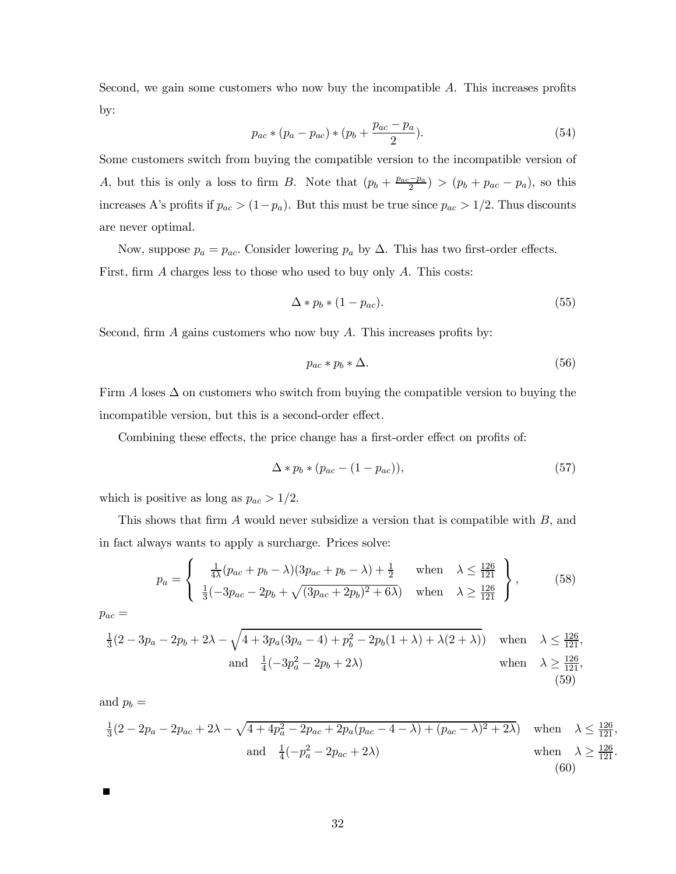Second, we gain some customers who now buy the incompatible A. This increases profits by:

$$
p_{ac} * (p_a - p_{ac}) * (p_b + \frac{p_{ac} - p_a}{2}).
$$
\n(54)

Some customers switch from buying the compatible version to the incompatible version of A, but this is only a loss to firm B. Note that  $(p_b + \frac{p_{ac} - p_a}{2})$  $\frac{-p_a}{2}$  >  $(p_b + p_{ac} - p_a)$ , so this increases A's profits if  $p_{ac} > (1-p_a)$ . But this must be true since  $p_{ac} > 1/2$ . Thus discounts are never optimal.

Now, suppose  $p_a = p_{ac}$ . Consider lowering  $p_a$  by  $\Delta$ . This has two first-order effects. First, firm A charges less to those who used to buy only A. This costs:

$$
\Delta * p_b * (1 - p_{ac}). \tag{55}
$$

Second, firm  $A$  gains customers who now buy  $A$ . This increases profits by:

$$
p_{ac} * p_b * \Delta. \tag{56}
$$

Firm A loses  $\Delta$  on customers who switch from buying the compatible version to buying the incompatible version, but this is a second-order effect.

Combining these effects, the price change has a first-order effect on profits of:

$$
\Delta * p_b * (p_{ac} - (1 - p_{ac})), \qquad (57)
$$

which is positive as long as  $p_{ac} > 1/2$ .

This shows that firm A would never subsidize a version that is compatible with B, and in fact always wants to apply a surcharge. Prices solve:

$$
p_a = \begin{cases} \frac{1}{4\lambda}(p_{ac} + p_b - \lambda)(3p_{ac} + p_b - \lambda) + \frac{1}{2} & \text{when } \lambda \le \frac{126}{121} \\ \frac{1}{3}(-3p_{ac} - 2p_b + \sqrt{(3p_{ac} + 2p_b)^2 + 6\lambda}) & \text{when } \lambda \ge \frac{126}{121} \end{cases},
$$
 (58)

 $p_{ac} =$ 

$$
\frac{1}{3}(2 - 3p_a - 2p_b + 2\lambda - \sqrt{4 + 3p_a(3p_a - 4) + p_b^2 - 2p_b(1 + \lambda) + \lambda(2 + \lambda)}) \quad \text{when} \quad \lambda \le \frac{126}{121},
$$
\n
$$
\text{and} \quad \frac{1}{4}(-3p_a^2 - 2p_b + 2\lambda) \quad \text{when} \quad \lambda \ge \frac{126}{121},
$$
\n
$$
(59)
$$

and  $p_b =$ 

 $\blacksquare$ 

$$
\frac{1}{3}(2 - 2p_a - 2p_{ac} + 2\lambda - \sqrt{4 + 4p_a^2 - 2p_{ac} + 2p_a(p_{ac} - 4 - \lambda) + (p_{ac} - \lambda)^2 + 2\lambda}) \quad \text{when} \quad \lambda \le \frac{126}{121},
$$
  
and 
$$
\frac{1}{4}(-p_a^2 - 2p_{ac} + 2\lambda) \quad \text{when} \quad \lambda \ge \frac{126}{121}.
$$
  
(60)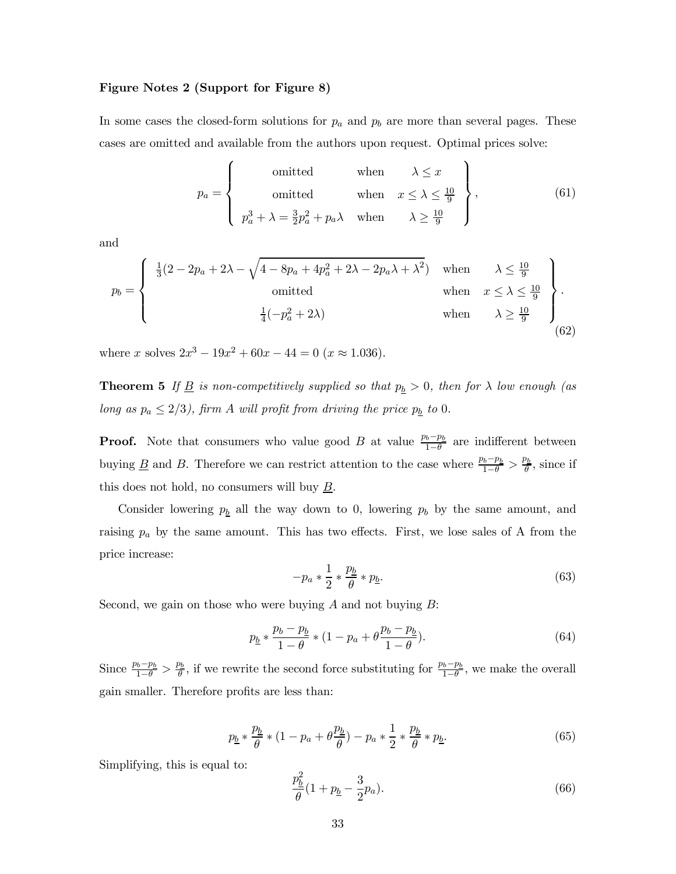#### Figure Notes 2 (Support for Figure 8)

In some cases the closed-form solutions for  $p_a$  and  $p_b$  are more than several pages. These cases are omitted and available from the authors upon request. Optimal prices solve:

$$
p_a = \begin{Bmatrix} \text{omitted} & \text{when} & \lambda \le x \\ \text{omitted} & \text{when} & x \le \lambda \le \frac{10}{9} \\ p_a^3 + \lambda = \frac{3}{2}p_a^2 + p_a\lambda & \text{when} & \lambda \ge \frac{10}{9} \end{Bmatrix},\tag{61}
$$

and

$$
p_b = \begin{cases} \frac{1}{3}(2 - 2p_a + 2\lambda - \sqrt{4 - 8p_a + 4p_a^2 + 2\lambda - 2p_a\lambda + \lambda^2}) & \text{when } \lambda \leq \frac{10}{9} \\ \text{omitted} \\ \frac{1}{4}(-p_a^2 + 2\lambda) & \text{when } x \leq \lambda \leq \frac{10}{9} \\ \end{cases}.
$$
\n
$$
(62)
$$

where x solves  $2x^3 - 19x^2 + 60x - 44 = 0$  ( $x \approx 1.036$ ).

**Theorem 5** If <u>B</u> is non-competitively supplied so that  $p_b > 0$ , then for  $\lambda$  low enough (as long as  $p_a \leq 2/3$ ), firm A will profit from driving the price  $p_b$  to 0.

**Proof.** Note that consumers who value good B at value  $\frac{p_b - p_b}{1 - \theta}$  are indifferent between buying <u>B</u> and B. Therefore we can restrict attention to the case where  $\frac{p_b-p_b}{1-\theta} > \frac{p_b}{\theta}$  $\frac{\sqrt{b}}{\theta}$ , since if this does not hold, no consumers will buy  $\underline{B}$ .

Consider lowering  $p_{\underline{b}}$  all the way down to 0, lowering  $p_b$  by the same amount, and raising  $p_a$  by the same amount. This has two effects. First, we lose sales of A from the price increase:

$$
-p_a * \frac{1}{2} * \frac{p_b}{\theta} * p_{\underline{b}}.
$$
\n
$$
(63)
$$

Second, we gain on those who were buying  $A$  and not buying  $B$ :

$$
p_{\underline{b}} * \frac{p_b - p_{\underline{b}}}{1 - \theta} * (1 - p_a + \theta \frac{p_b - p_{\underline{b}}}{1 - \theta}).
$$
\n(64)

Since  $\frac{p_b-p_b}{1-\theta} > \frac{p_b}{\theta}$  $\frac{\partial b}{\partial \theta}$ , if we rewrite the second force substituting for  $\frac{p_b - p_b}{1 - \theta}$ , we make the overall gain smaller. Therefore profits are less than:

$$
p_{\underline{b}} * \frac{p_{\underline{b}}}{\theta} * (1 - p_a + \theta \frac{p_{\underline{b}}}{\theta}) - p_a * \frac{1}{2} * \frac{p_{\underline{b}}}{\theta} * p_{\underline{b}}.
$$
 (65)

Simplifying, this is equal to:

$$
\frac{p_b^2}{\theta}(1 + p_b - \frac{3}{2}p_a). \tag{66}
$$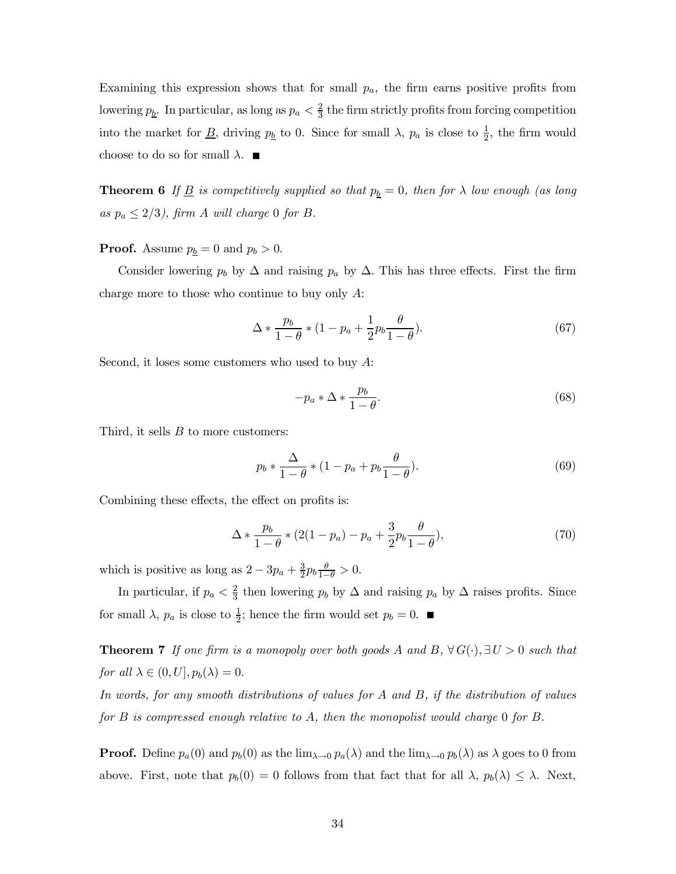Examining this expression shows that for small  $p_a$ , the firm earns positive profits from lowering  $p_{\underline{b}}$ . In particular, as long as  $p_a < \frac{2}{3}$  $\frac{2}{3}$  the firm strictly profits from forcing competition into the market for  $\underline{B}$ , driving  $p_{\underline{b}}$  to 0. Since for small  $\lambda$ ,  $p_a$  is close to  $\frac{1}{2}$ , the firm would choose to do so for small  $\lambda$ .  $\blacksquare$ 

**Theorem 6** If <u>B</u> is competitively supplied so that  $p_b = 0$ , then for  $\lambda$  low enough (as long as  $p_a \leq 2/3$ ), firm A will charge 0 for B.

### **Proof.** Assume  $p_b = 0$  and  $p_b > 0$ .

Consider lowering  $p_b$  by  $\Delta$  and raising  $p_a$  by  $\Delta$ . This has three effects. First the firm charge more to those who continue to buy only A:

$$
\Delta * \frac{p_b}{1 - \theta} * (1 - p_a + \frac{1}{2} p_b \frac{\theta}{1 - \theta}).
$$
\n(67)

Second, it loses some customers who used to buy A:

$$
-p_a * \Delta * \frac{p_b}{1-\theta}.\tag{68}
$$

Third, it sells  $B$  to more customers:

$$
p_b * \frac{\Delta}{1-\theta} * (1-p_a + p_b \frac{\theta}{1-\theta}).
$$
\n(69)

Combining these effects, the effect on profits is:

$$
\Delta * \frac{p_b}{1-\theta} * (2(1-p_a) - p_a + \frac{3}{2}p_b \frac{\theta}{1-\theta}), \tag{70}
$$

which is positive as long as  $2 - 3p_a + \frac{3}{2}p_b \frac{\theta}{1-\theta} > 0$ .

In particular, if  $p_a < \frac{2}{3}$  $\frac{2}{3}$  then lowering  $p_b$  by  $\Delta$  and raising  $p_a$  by  $\Delta$  raises profits. Since for small  $\lambda$ ,  $p_a$  is close to  $\frac{1}{2}$ ; hence the firm would set  $p_b = 0$ .

**Theorem 7** If one firm is a monopoly over both goods A and B,  $\forall G(\cdot), \exists U > 0$  such that for all  $\lambda \in (0, U], p_b(\lambda) = 0.$ 

In words, for any smooth distributions of values for A and B, if the distribution of values for  $B$  is compressed enough relative to  $A$ , then the monopolist would charge 0 for  $B$ .

**Proof.** Define  $p_a(0)$  and  $p_b(0)$  as the  $\lim_{\lambda\to 0} p_a(\lambda)$  and the  $\lim_{\lambda\to 0} p_b(\lambda)$  as  $\lambda$  goes to 0 from above. First, note that  $p_b(0) = 0$  follows from that fact that for all  $\lambda$ ,  $p_b(\lambda) \leq \lambda$ . Next,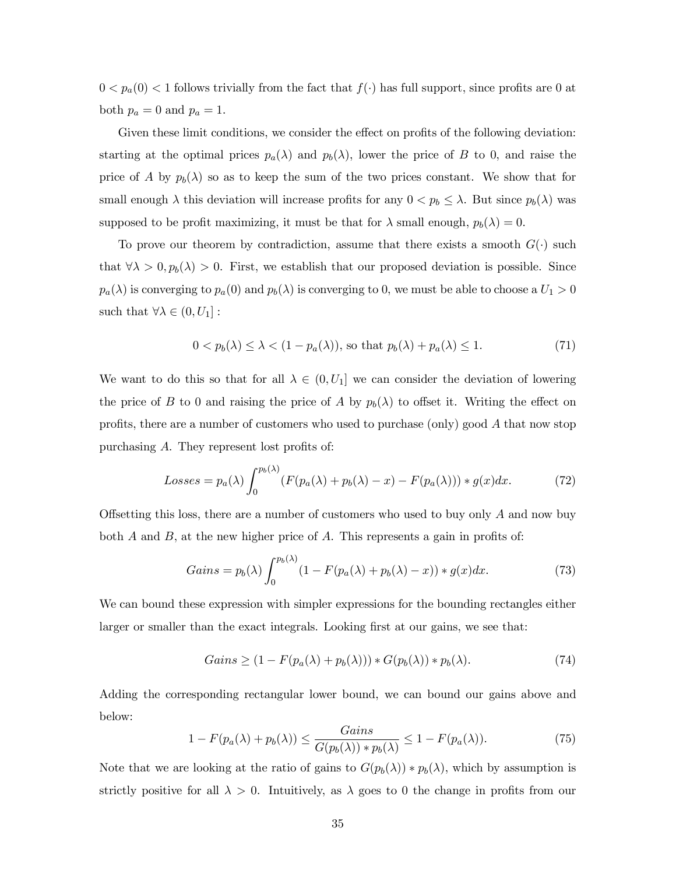$0 < p_a(0) < 1$  follows trivially from the fact that  $f(\cdot)$  has full support, since profits are 0 at both  $p_a = 0$  and  $p_a = 1$ .

Given these limit conditions, we consider the effect on profits of the following deviation: starting at the optimal prices  $p_a(\lambda)$  and  $p_b(\lambda)$ , lower the price of B to 0, and raise the price of A by  $p_b(\lambda)$  so as to keep the sum of the two prices constant. We show that for small enough  $\lambda$  this deviation will increase profits for any  $0 < p_b \leq \lambda$ . But since  $p_b(\lambda)$  was supposed to be profit maximizing, it must be that for  $\lambda$  small enough,  $p_b(\lambda) = 0$ .

To prove our theorem by contradiction, assume that there exists a smooth  $G(\cdot)$  such that  $\forall \lambda > 0, p_b(\lambda) > 0$ . First, we establish that our proposed deviation is possible. Since  $p_a(\lambda)$  is converging to  $p_a(0)$  and  $p_b(\lambda)$  is converging to 0, we must be able to choose a  $U_1 > 0$ such that  $\forall \lambda \in (0, U_1]$ :

$$
0 < p_b(\lambda) \le \lambda < (1 - p_a(\lambda)), \text{ so that } p_b(\lambda) + p_a(\lambda) \le 1. \tag{71}
$$

We want to do this so that for all  $\lambda \in (0, U_1]$  we can consider the deviation of lowering the price of B to 0 and raising the price of A by  $p_b(\lambda)$  to offset it. Writing the effect on profits, there are a number of customers who used to purchase (only) good A that now stop purchasing A. They represent lost profits of:

$$
Losses = p_a(\lambda) \int_0^{p_b(\lambda)} (F(p_a(\lambda) + p_b(\lambda) - x) - F(p_a(\lambda))) * g(x) dx.
$$
 (72)

Offsetting this loss, there are a number of customers who used to buy only A and now buy both  $A$  and  $B$ , at the new higher price of  $A$ . This represents a gain in profits of:

$$
Gains = p_b(\lambda) \int_0^{p_b(\lambda)} (1 - F(p_a(\lambda) + p_b(\lambda) - x)) * g(x) dx.
$$
 (73)

We can bound these expression with simpler expressions for the bounding rectangles either larger or smaller than the exact integrals. Looking first at our gains, we see that:

$$
Gains \ge (1 - F(p_a(\lambda) + p_b(\lambda))) * G(p_b(\lambda)) * p_b(\lambda). \tag{74}
$$

Adding the corresponding rectangular lower bound, we can bound our gains above and below:

$$
1 - F(p_a(\lambda) + p_b(\lambda)) \le \frac{Gains}{G(p_b(\lambda)) * p_b(\lambda)} \le 1 - F(p_a(\lambda)).
$$
\n(75)

Note that we are looking at the ratio of gains to  $G(p_b(\lambda)) * p_b(\lambda)$ , which by assumption is strictly positive for all  $\lambda > 0$ . Intuitively, as  $\lambda$  goes to 0 the change in profits from our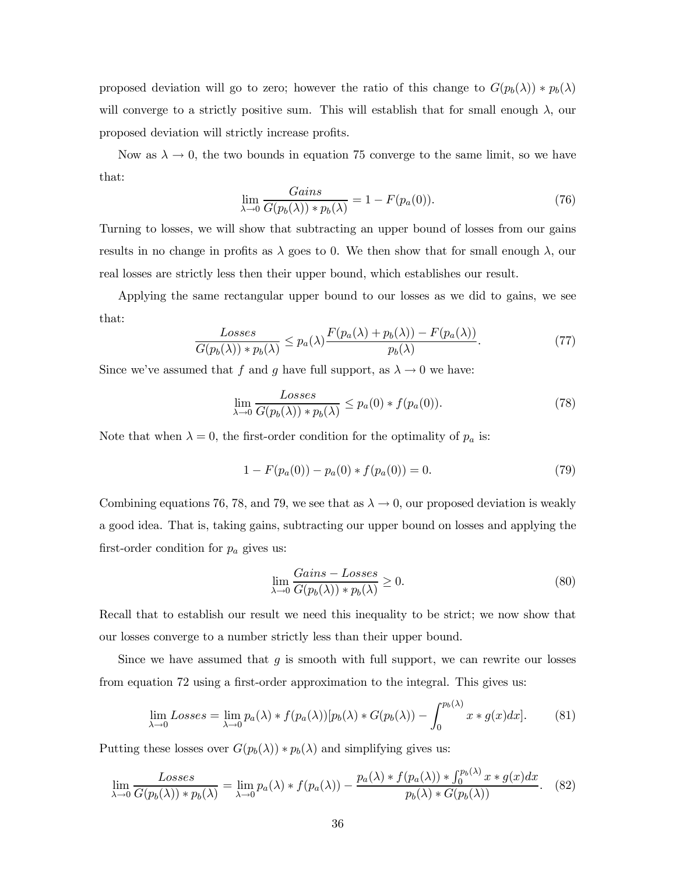proposed deviation will go to zero; however the ratio of this change to  $G(p_b(\lambda)) * p_b(\lambda)$ will converge to a strictly positive sum. This will establish that for small enough  $\lambda$ , our proposed deviation will strictly increase profits.

Now as  $\lambda \to 0$ , the two bounds in equation 75 converge to the same limit, so we have that:

$$
\lim_{\lambda \to 0} \frac{Gains}{G(p_b(\lambda)) * p_b(\lambda)} = 1 - F(p_a(0)).
$$
\n(76)

Turning to losses, we will show that subtracting an upper bound of losses from our gains results in no change in profits as  $\lambda$  goes to 0. We then show that for small enough  $\lambda$ , our real losses are strictly less then their upper bound, which establishes our result.

Applying the same rectangular upper bound to our losses as we did to gains, we see that:

$$
\frac{Losses}{G(p_b(\lambda)) * p_b(\lambda)} \le p_a(\lambda) \frac{F(p_a(\lambda) + p_b(\lambda)) - F(p_a(\lambda))}{p_b(\lambda)}.
$$
\n(77)

Since we've assumed that f and g have full support, as  $\lambda \to 0$  we have:

$$
\lim_{\lambda \to 0} \frac{Losses}{G(p_b(\lambda)) * p_b(\lambda)} \le p_a(0) * f(p_a(0)).
$$
\n(78)

Note that when  $\lambda = 0$ , the first-order condition for the optimality of  $p_a$  is:

$$
1 - F(p_a(0)) - p_a(0) * f(p_a(0)) = 0.
$$
\n(79)

Combining equations 76, 78, and 79, we see that as  $\lambda \to 0$ , our proposed deviation is weakly a good idea. That is, taking gains, subtracting our upper bound on losses and applying the first-order condition for  $p_a$  gives us:

$$
\lim_{\lambda \to 0} \frac{Gains - Losses}{G(p_b(\lambda)) * p_b(\lambda)} \ge 0.
$$
\n(80)

Recall that to establish our result we need this inequality to be strict; we now show that our losses converge to a number strictly less than their upper bound.

Since we have assumed that  $g$  is smooth with full support, we can rewrite our losses from equation 72 using a first-order approximation to the integral. This gives us:

$$
\lim_{\lambda \to 0} Losses = \lim_{\lambda \to 0} p_a(\lambda) * f(p_a(\lambda)) [p_b(\lambda) * G(p_b(\lambda)) - \int_0^{p_b(\lambda)} x * g(x) dx].
$$
 (81)

Putting these losses over  $G(p_b(\lambda)) * p_b(\lambda)$  and simplifying gives us:

$$
\lim_{\lambda \to 0} \frac{Losses}{G(p_b(\lambda)) * p_b(\lambda)} = \lim_{\lambda \to 0} p_a(\lambda) * f(p_a(\lambda)) - \frac{p_a(\lambda) * f(p_a(\lambda)) * f_0^{p_b(\lambda)} x * g(x) dx}{p_b(\lambda) * G(p_b(\lambda))}.
$$
 (82)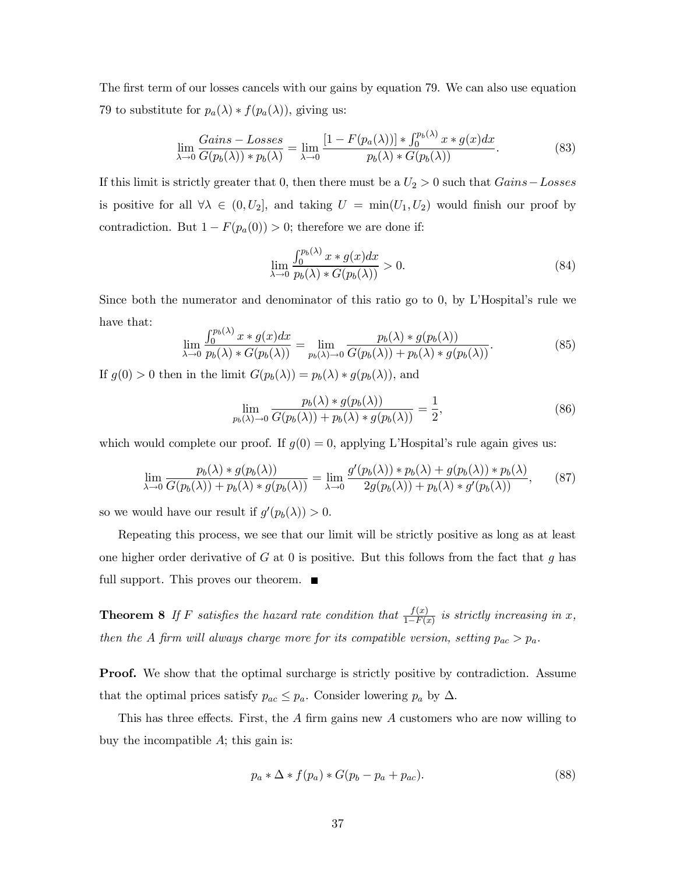The first term of our losses cancels with our gains by equation 79. We can also use equation 79 to substitute for  $p_a(\lambda) * f(p_a(\lambda))$ , giving us:

$$
\lim_{\lambda \to 0} \frac{Gains - Losses}{G(p_b(\lambda)) * p_b(\lambda)} = \lim_{\lambda \to 0} \frac{\left[1 - F(p_a(\lambda))\right] * \int_0^{p_b(\lambda)} x * g(x) dx}{p_b(\lambda) * G(p_b(\lambda))}.
$$
\n
$$
(83)
$$

If this limit is strictly greater that 0, then there must be a  $U_2 > 0$  such that  $Gains - Losses$ is positive for all  $\forall \lambda \in (0, U_2]$ , and taking  $U = \min(U_1, U_2)$  would finish our proof by contradiction. But  $1 - F(p_a(0)) > 0$ ; therefore we are done if:

$$
\lim_{\lambda \to 0} \frac{\int_0^{p_b(\lambda)} x * g(x) dx}{p_b(\lambda) * G(p_b(\lambda))} > 0.
$$
\n(84)

Since both the numerator and denominator of this ratio go to 0, by L'Hospital's rule we have that:

$$
\lim_{\lambda \to 0} \frac{\int_0^{p_b(\lambda)} x * g(x) dx}{p_b(\lambda) * G(p_b(\lambda))} = \lim_{p_b(\lambda) \to 0} \frac{p_b(\lambda) * g(p_b(\lambda))}{G(p_b(\lambda)) + p_b(\lambda) * g(p_b(\lambda))}.
$$
\n(85)

If  $g(0) > 0$  then in the limit  $G(p_b(\lambda)) = p_b(\lambda) * g(p_b(\lambda))$ , and

$$
\lim_{p_b(\lambda)\to 0} \frac{p_b(\lambda) * g(p_b(\lambda))}{G(p_b(\lambda)) + p_b(\lambda) * g(p_b(\lambda))} = \frac{1}{2},\tag{86}
$$

which would complete our proof. If  $q(0) = 0$ , applying L'Hospital's rule again gives us:

$$
\lim_{\lambda \to 0} \frac{p_b(\lambda) * g(p_b(\lambda))}{G(p_b(\lambda)) + p_b(\lambda) * g(p_b(\lambda))} = \lim_{\lambda \to 0} \frac{g'(p_b(\lambda)) * p_b(\lambda) + g(p_b(\lambda)) * p_b(\lambda)}{2g(p_b(\lambda)) + p_b(\lambda) * g'(p_b(\lambda))},
$$
(87)

so we would have our result if  $g'(p_b(\lambda)) > 0$ .

Repeating this process, we see that our limit will be strictly positive as long as at least one higher order derivative of  $G$  at  $0$  is positive. But this follows from the fact that  $g$  has full support. This proves our theorem.  $\blacksquare$ 

**Theorem 8** If F satisfies the hazard rate condition that  $\frac{f(x)}{1-F(x)}$  is strictly increasing in x, then the A firm will always charge more for its compatible version, setting  $p_{ac} > p_a$ .

**Proof.** We show that the optimal surcharge is strictly positive by contradiction. Assume that the optimal prices satisfy  $p_{ac} \leq p_a$ . Consider lowering  $p_a$  by  $\Delta$ .

This has three effects. First, the  $A$  firm gains new  $A$  customers who are now willing to buy the incompatible  $A$ ; this gain is:

$$
p_a * \Delta * f(p_a) * G(p_b - p_a + p_{ac}). \tag{88}
$$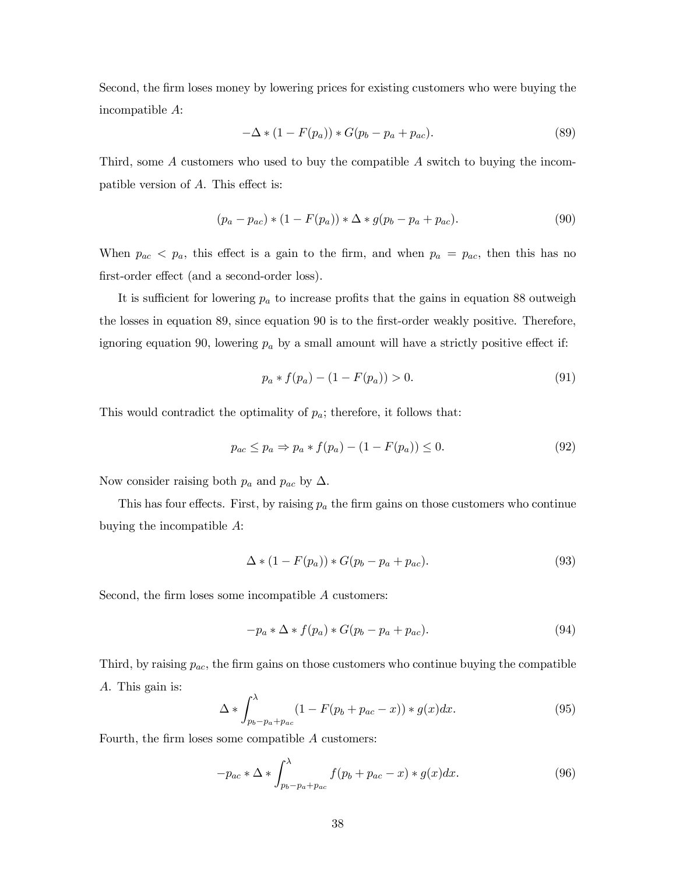Second, the firm loses money by lowering prices for existing customers who were buying the incompatible A:

$$
-\Delta * (1 - F(p_a)) * G(p_b - p_a + p_{ac}).
$$
\n(89)

Third, some A customers who used to buy the compatible A switch to buying the incompatible version of A. This effect is:

$$
(p_a - p_{ac}) * (1 - F(p_a)) * \Delta * g(p_b - p_a + p_{ac}).
$$
\n(90)

When  $p_{ac} < p_a$ , this effect is a gain to the firm, and when  $p_a = p_{ac}$ , then this has no first-order effect (and a second-order loss).

It is sufficient for lowering  $p_a$  to increase profits that the gains in equation 88 outweigh the losses in equation 89, since equation 90 is to the first-order weakly positive. Therefore, ignoring equation 90, lowering  $p_a$  by a small amount will have a strictly positive effect if:

$$
p_a * f(p_a) - (1 - F(p_a)) > 0.
$$
\n(91)

This would contradict the optimality of  $p_a$ ; therefore, it follows that:

$$
p_{ac} \le p_a \Rightarrow p_a * f(p_a) - (1 - F(p_a)) \le 0.
$$
 (92)

Now consider raising both  $p_a$  and  $p_{ac}$  by  $\Delta$ .

This has four effects. First, by raising  $p_a$  the firm gains on those customers who continue buying the incompatible A:

$$
\Delta * (1 - F(p_a)) * G(p_b - p_a + p_{ac}). \tag{93}
$$

Second, the firm loses some incompatible A customers:

$$
-p_a * \Delta * f(p_a) * G(p_b - p_a + p_{ac}). \tag{94}
$$

Third, by raising  $p_{ac}$ , the firm gains on those customers who continue buying the compatible A. This gain is:

$$
\Delta * \int_{p_b - p_a + p_{ac}}^{\lambda} (1 - F(p_b + p_{ac} - x)) * g(x) dx.
$$
\n(95)

Fourth, the firm loses some compatible A customers:

$$
-p_{ac} * \Delta * \int_{p_b - p_a + p_{ac}}^{\lambda} f(p_b + p_{ac} - x) * g(x) dx.
$$
 (96)